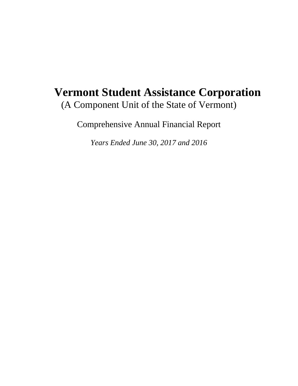# **Vermont Student Assistance Corporation**  (A Component Unit of the State of Vermont)

Comprehensive Annual Financial Report

*Years Ended June 30, 2017 and 2016*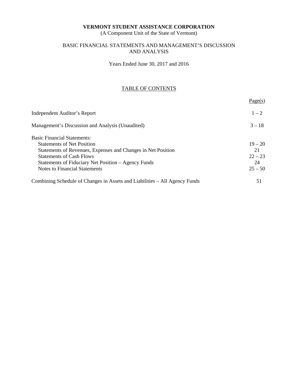(A Component Unit of the State of Vermont)

### BASIC FINANCIAL STATEMENTS AND MANAGEMENT'S DISCUSSION AND ANALYSIS

Years Ended June 30, 2017 and 2016

### TABLE OF CONTENTS

|                                                                            | Page(s)   |
|----------------------------------------------------------------------------|-----------|
| Independent Auditor's Report                                               | $1 - 2$   |
| Management's Discussion and Analysis (Unaudited)                           | $3 - 18$  |
| <b>Basic Financial Statements:</b>                                         |           |
| <b>Statements of Net Position</b>                                          | $19 - 20$ |
| Statements of Revenues, Expenses and Changes in Net Position               | 21        |
| <b>Statements of Cash Flows</b>                                            | $22 - 23$ |
| Statements of Fiduciary Net Position – Agency Funds                        | 24        |
| Notes to Financial Statements                                              | $25 - 50$ |
| Combining Schedule of Changes in Assets and Liabilities – All Agency Funds | 51        |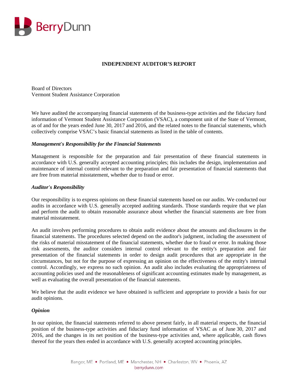

### **INDEPENDENT AUDITOR'S REPORT**

Board of Directors Vermont Student Assistance Corporation

We have audited the accompanying financial statements of the business-type activities and the fiduciary fund information of Vermont Student Assistance Corporation (VSAC), a component unit of the State of Vermont, as of and for the years ended June 30, 2017 and 2016, and the related notes to the financial statements, which collectively comprise VSAC's basic financial statements as listed in the table of contents.

### *Management's Responsibility for the Financial Statements*

Management is responsible for the preparation and fair presentation of these financial statements in accordance with U.S. generally accepted accounting principles; this includes the design, implementation and maintenance of internal control relevant to the preparation and fair presentation of financial statements that are free from material misstatement, whether due to fraud or error.

### *Auditor's Responsibility*

Our responsibility is to express opinions on these financial statements based on our audits. We conducted our audits in accordance with U.S. generally accepted auditing standards. Those standards require that we plan and perform the audit to obtain reasonable assurance about whether the financial statements are free from material misstatement.

An audit involves performing procedures to obtain audit evidence about the amounts and disclosures in the financial statements. The procedures selected depend on the auditor's judgment, including the assessment of the risks of material misstatement of the financial statements, whether due to fraud or error. In making those risk assessments, the auditor considers internal control relevant to the entity's preparation and fair presentation of the financial statements in order to design audit procedures that are appropriate in the circumstances, but not for the purpose of expressing an opinion on the effectiveness of the entity's internal control. Accordingly, we express no such opinion. An audit also includes evaluating the appropriateness of accounting policies used and the reasonableness of significant accounting estimates made by management, as well as evaluating the overall presentation of the financial statements.

We believe that the audit evidence we have obtained is sufficient and appropriate to provide a basis for our audit opinions.

#### *Opinion*

In our opinion, the financial statements referred to above present fairly, in all material respects, the financial position of the business-type activities and fiduciary fund information of VSAC as of June 30, 2017 and 2016, and the changes in its net position of the business-type activities and, where applicable, cash flows thereof for the years then ended in accordance with U.S. generally accepted accounting principles.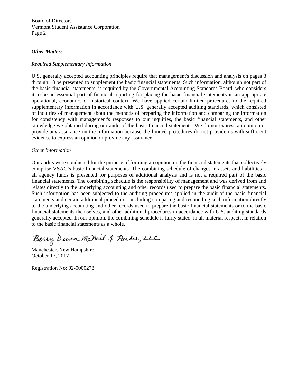Board of Directors Vermont Student Assistance Corporation Page 2

### *Other Matters*

#### *Required Supplementary Information*

U.S. generally accepted accounting principles require that management's discussion and analysis on pages 3 through 18 be presented to supplement the basic financial statements. Such information, although not part of the basic financial statements, is required by the Governmental Accounting Standards Board, who considers it to be an essential part of financial reporting for placing the basic financial statements in an appropriate operational, economic, or historical context. We have applied certain limited procedures to the required supplementary information in accordance with U.S. generally accepted auditing standards, which consisted of inquiries of management about the methods of preparing the information and comparing the information for consistency with management's responses to our inquiries, the basic financial statements, and other knowledge we obtained during our audit of the basic financial statements. We do not express an opinion or provide any assurance on the information because the limited procedures do not provide us with sufficient evidence to express an opinion or provide any assurance.

### *Other Information*

Our audits were conducted for the purpose of forming an opinion on the financial statements that collectively comprise VSAC's basic financial statements. The combining schedule of changes in assets and liabilities – all agency funds is presented for purposes of additional analysis and is not a required part of the basic financial statements. The combining schedule is the responsibility of management and was derived from and relates directly to the underlying accounting and other records used to prepare the basic financial statements. Such information has been subjected to the auditing procedures applied in the audit of the basic financial statements and certain additional procedures, including comparing and reconciling such information directly to the underlying accounting and other records used to prepare the basic financial statements or to the basic financial statements themselves, and other additional procedures in accordance with U.S. auditing standards generally accepted. In our opinion, the combining schedule is fairly stated, in all material respects, in relation to the basic financial statements as a whole.

Berry Dunn McNeil & Parker, LLC

Manchester, New Hampshire October 17, 2017

Registration No: 92-0000278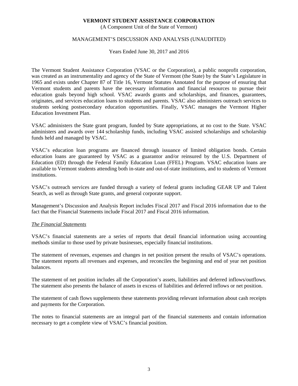(A Component Unit of the State of Vermont)

### MANAGEMENT'S DISCUSSION AND ANALYSIS (UNAUDITED)

Years Ended June 30, 2017 and 2016

The Vermont Student Assistance Corporation (VSAC or the Corporation), a public nonprofit corporation, was created as an instrumentality and agency of the State of Vermont (the State) by the State's Legislature in 1965 and exists under Chapter 87 of Title 16, Vermont Statutes Annotated for the purpose of ensuring that Vermont students and parents have the necessary information and financial resources to pursue their education goals beyond high school. VSAC awards grants and scholarships, and finances, guarantees, originates, and services education loans to students and parents. VSAC also administers outreach services to students seeking postsecondary education opportunities. Finally, VSAC manages the Vermont Higher Education Investment Plan.

VSAC administers the State grant program, funded by State appropriations, at no cost to the State. VSAC administers and awards over 144 scholarship funds, including VSAC assisted scholarships and scholarship funds held and managed by VSAC.

VSAC's education loan programs are financed through issuance of limited obligation bonds. Certain education loans are guaranteed by VSAC as a guarantor and/or reinsured by the U.S. Department of Education (ED) through the Federal Family Education Loan (FFEL) Program. VSAC education loans are available to Vermont students attending both in-state and out-of-state institutions, and to students of Vermont institutions.

VSAC's outreach services are funded through a variety of federal grants including GEAR UP and Talent Search, as well as through State grants, and general corporate support.

Management's Discussion and Analysis Report includes Fiscal 2017 and Fiscal 2016 information due to the fact that the Financial Statements include Fiscal 2017 and Fiscal 2016 information.

#### *The Financial Statements*

VSAC's financial statements are a series of reports that detail financial information using accounting methods similar to those used by private businesses, especially financial institutions.

The statement of revenues, expenses and changes in net position present the results of VSAC's operations. The statement reports all revenues and expenses, and reconciles the beginning and end of year net position balances.

The statement of net position includes all the Corporation's assets, liabilities and deferred inflows/outflows. The statement also presents the balance of assets in excess of liabilities and deferred inflows or net position.

The statement of cash flows supplements these statements providing relevant information about cash receipts and payments for the Corporation.

The notes to financial statements are an integral part of the financial statements and contain information necessary to get a complete view of VSAC's financial position.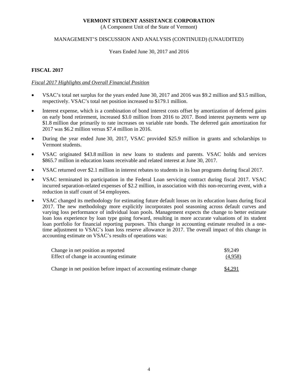(A Component Unit of the State of Vermont)

### MANAGEMENT'S DISCUSSION AND ANALYSIS (CONTINUED) (UNAUDITED)

#### Years Ended June 30, 2017 and 2016

### **FISCAL 2017**

### *Fiscal 2017 Highlights and Overall Financial Position*

- VSAC's total net surplus for the years ended June 30, 2017 and 2016 was \$9.2 million and \$3.5 million, respectively. VSAC's total net position increased to \$179.1 million.
- Interest expense, which is a combination of bond interest costs offset by amortization of deferred gains on early bond retirement, increased \$3.0 million from 2016 to 2017. Bond interest payments were up \$1.8 million due primarily to rate increases on variable rate bonds. The deferred gain amortization for 2017 was \$6.2 million versus \$7.4 million in 2016.
- During the year ended June 30, 2017, VSAC provided \$25.9 million in grants and scholarships to Vermont students.
- VSAC originated \$43.8 million in new loans to students and parents. VSAC holds and services \$865.7 million in education loans receivable and related interest at June 30, 2017.
- VSAC returned over \$2.1 million in interest rebates to students in its loan programs during fiscal 2017.
- VSAC terminated its participation in the Federal Loan servicing contract during fiscal 2017. VSAC incurred separation-related expenses of \$2.2 million, in association with this non-recurring event, with a reduction in staff count of 54 employees.
- VSAC changed its methodology for estimating future default losses on its education loans during fiscal 2017. The new methodology more explicitly incorporates pool seasoning across default curves and varying loss performance of individual loan pools. Management expects the change to better estimate loan loss experience by loan type going forward, resulting in more accurate valuations of its student loan portfolio for financial reporting purposes. This change in accounting estimate resulted in a onetime adjustment to VSAC's loan loss reserve allowance in 2017. The overall impact of this change in accounting estimate on VSAC's results of operations was:

| Change in net position as reported                                 | \$9,249 |
|--------------------------------------------------------------------|---------|
| Effect of change in accounting estimate                            | (4,958) |
|                                                                    |         |
| Change in net position before impact of accounting estimate change | \$4,291 |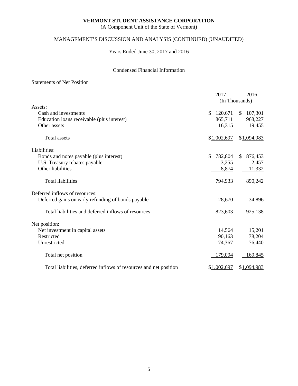(A Component Unit of the State of Vermont)

# MANAGEMENT'S DISCUSSION AND ANALYSIS (CONTINUED) (UNAUDITED)

Years Ended June 30, 2017 and 2016

### Condensed Financial Information

### Statements of Net Position

|                                                                   | 2017           | 2016<br>(In Thousands)  |
|-------------------------------------------------------------------|----------------|-------------------------|
| Assets:                                                           |                |                         |
| Cash and investments                                              | 120,671<br>\$  | 107,301<br>$\mathbb{S}$ |
| Education loans receivable (plus interest)                        | 865,711        | 968,227                 |
| Other assets                                                      | 16,315         | 19,455                  |
| <b>Total assets</b>                                               | \$1,002,697    | \$1,094,983             |
| Liabilities:                                                      |                |                         |
| Bonds and notes payable (plus interest)                           | 782,804<br>\$. | 876,453<br>S.           |
| U.S. Treasury rebates payable                                     | 3,255          | 2,457                   |
| Other liabilities                                                 | 8,874          | 11,332                  |
| <b>Total liabilities</b>                                          | 794,933        | 890,242                 |
| Deferred inflows of resources:                                    |                |                         |
| Deferred gains on early refunding of bonds payable                | 28,670         | 34,896                  |
| Total liabilities and deferred inflows of resources               | 823,603        | 925,138                 |
| Net position:                                                     |                |                         |
| Net investment in capital assets                                  | 14,564         | 15,201                  |
| Restricted                                                        | 90,163         | 78,204                  |
| Unrestricted                                                      | 74,367         | 76,440                  |
| Total net position                                                | 179,094        | 169,845                 |
| Total liabilities, deferred inflows of resources and net position | \$1,002,697    | \$1,094,983             |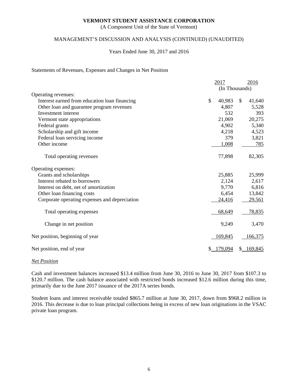(A Component Unit of the State of Vermont)

### MANAGEMENT'S DISCUSSION AND ANALYSIS (CONTINUED) (UNAUDITED)

#### Years Ended June 30, 2017 and 2016

#### Statements of Revenues, Expenses and Changes in Net Position

|                                               |                | 2017    |     | 2016    |
|-----------------------------------------------|----------------|---------|-----|---------|
|                                               | (In Thousands) |         |     |         |
| Operating revenues:                           |                |         |     |         |
| Interest earned from education loan financing | \$             | 40,983  | \$. | 41,640  |
| Other loan and guarantee program revenues     |                | 4,807   |     | 5,528   |
| Investment interest                           |                | 532     |     | 393     |
| Vermont state appropriations                  |                | 21,069  |     | 20,275  |
| Federal grants                                |                | 4,902   |     | 5,340   |
| Scholarship and gift income                   |                | 4,218   |     | 4,523   |
| Federal loan servicing income                 |                | 379     |     | 3,821   |
| Other income                                  |                | 1,008   |     | 785     |
| Total operating revenues                      |                | 77,898  |     | 82,305  |
| Operating expenses:                           |                |         |     |         |
| Grants and scholarships                       |                | 25,885  |     | 25,999  |
| Interest rebated to borrowers                 |                | 2,124   |     | 2,617   |
| Interest on debt, net of amortization         |                | 9,770   |     | 6,816   |
| Other loan financing costs                    |                | 6,454   |     | 13,842  |
| Corporate operating expenses and depreciation |                | 24,416  |     | 29,561  |
| Total operating expenses                      |                | 68,649  |     | 78,835  |
| Change in net position                        |                | 9,249   |     | 3,470   |
| Net position, beginning of year               |                | 169,845 |     | 166,375 |
| Net position, end of year                     |                | 179,094 |     | 169,845 |

#### *Net Position*

Cash and investment balances increased \$13.4 million from June 30, 2016 to June 30, 2017 from \$107.3 to \$120.7 million. The cash balance associated with restricted bonds increased \$12.6 million during this time, primarily due to the June 2017 issuance of the 2017A series bonds.

Student loans and interest receivable totaled \$865.7 million at June 30, 2017, down from \$968.2 million in 2016. This decrease is due to loan principal collections being in excess of new loan originations in the VSAC private loan program.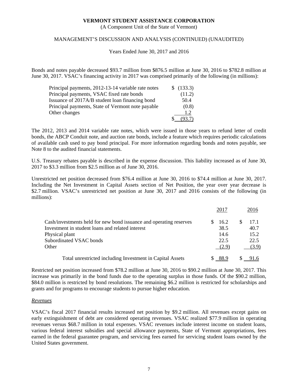(A Component Unit of the State of Vermont)

### MANAGEMENT'S DISCUSSION AND ANALYSIS (CONTINUED) (UNAUDITED)

Years Ended June 30, 2017 and 2016

Bonds and notes payable decreased \$93.7 million from \$876.5 million at June 30, 2016 to \$782.8 million at June 30, 2017. VSAC's financing activity in 2017 was comprised primarily of the following (in millions):

| Principal payments, 2012-13-14 variable rate notes | \$ (133.3) |
|----------------------------------------------------|------------|
| Principal payments, VSAC fixed rate bonds          | (11.2)     |
| Issuance of 2017A/B student loan financing bond    | 50.4       |
| Principal payments, State of Vermont note payable  | (0.8)      |
| Other changes                                      | 1.2        |
|                                                    | .93.7      |

The 2012, 2013 and 2014 variable rate notes, which were issued in those years to refund letter of credit bonds, the ABCP Conduit note, and auction rate bonds, include a feature which requires periodic calculations of available cash used to pay bond principal. For more information regarding bonds and notes payable, see Note 8 to the audited financial statements.

U.S. Treasury rebates payable is described in the expense discussion. This liability increased as of June 30, 2017 to \$3.3 million from \$2.5 million as of June 30, 2016.

Unrestricted net position decreased from \$76.4 million at June 30, 2016 to \$74.4 million at June 30, 2017. Including the Net Investment in Capital Assets section of Net Position, the year over year decrease is \$2.7 million. VSAC's unrestricted net position at June 30, 2017 and 2016 consists of the following (in millions):

|                                                                    | 2017  | 2016  |
|--------------------------------------------------------------------|-------|-------|
| Cash/investments held for new bond issuance and operating reserves | 16.2  | 17.1  |
| Investment in student loans and related interest                   | 38.5  | 40.7  |
| Physical plant                                                     | 14.6  | 15.2  |
| Subordinated VSAC bonds                                            | 22.5  | 22.5  |
| Other                                                              | (2.9) | (3.9) |
| Total unrestricted including Investment in Capital Assets          | 88.9  |       |

Restricted net position increased from \$78.2 million at June 30, 2016 to \$90.2 million at June 30, 2017. This increase was primarily in the bond funds due to the operating surplus in those funds. Of the \$90.2 million, \$84.0 million is restricted by bond resolutions. The remaining \$6.2 million is restricted for scholarships and grants and for programs to encourage students to pursue higher education.

#### *Revenues*

VSAC's fiscal 2017 financial results increased net position by \$9.2 million. All revenues except gains on early extinguishment of debt are considered operating revenues. VSAC realized \$77.9 million in operating revenues versus \$68.7 million in total expenses. VSAC revenues include interest income on student loans, various federal interest subsidies and special allowance payments, State of Vermont appropriations, fees earned in the federal guarantee program, and servicing fees earned for servicing student loans owned by the United States government.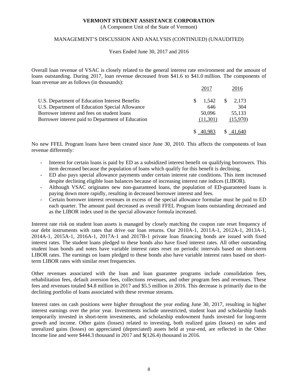(A Component Unit of the State of Vermont)

### MANAGEMENT'S DISCUSSION AND ANALYSIS (CONTINUED) (UNAUDITED)

#### Years Ended June 30, 2017 and 2016

Overall loan revenue of VSAC is closely related to the general interest rate environment and the amount of loans outstanding. During 2017, loan revenue decreased from \$41.6 to \$41.0 million. The components of loan revenue are as follows (in thousands):

|                                                   | 2017     | 2016               |
|---------------------------------------------------|----------|--------------------|
| U.S. Department of Education Interest Benefits    | 1.542    | $\frac{\$}{2,173}$ |
| U.S. Department of Education Special Allowance    | 646      | 304                |
| Borrower interest and fees on student loans       | 50,096   | 55,133             |
| Borrower interest paid to Department of Education | (11,301) | (15,970)           |
|                                                   |          | <sup>S</sup>       |

No new FFEL Program loans have been created since June 30, 2010. This affects the components of loan revenue differently:

- Interest for certain loans is paid by ED as a subsidized interest benefit on qualifying borrowers. This item decreased because the population of loans which qualify for this benefit is declining.
- ED also pays special allowance payments under certain interest rate conditions. This item increased despite declining eligible loan balances because of increasing interest rate indices (LIBOR).
- Although VSAC originates new non-guaranteed loans, the population of ED-guaranteed loans is paying down more rapidly, resulting in decreased borrower interest and fees.
- Certain borrower interest revenues in excess of the special allowance formulae must be paid to ED each quarter. The amount paid decreased as overall FFEL Program loans outstanding decreased and as the LIBOR index used in the special allowance formula increased.

Interest rate risk on student loan assets is managed by closely matching the coupon rate reset frequency of our debt instruments with rates that drive our loan returns. Our 2010A-1, 2011A-1, 2012A-1, 2013A-1, 2014A-1, 2015A-1, 2016A-1, 2017A-1 and 2017B-1 private loan financing bonds are issued with fixed interest rates. The student loans pledged to these bonds also have fixed interest rates. All other outstanding student loan bonds and notes have variable interest rates reset on periodic intervals based on short-term LIBOR rates. The earnings on loans pledged to these bonds also have variable interest rates based on shortterm LIBOR rates with similar reset frequencies.

Other revenues associated with the loan and loan guarantee programs include consolidation fees, rehabilitation fees, default aversion fees, collections revenues, and other program fees and revenues. These fees and revenues totaled \$4.8 million in 2017 and \$5.5 million in 2016. This decrease is primarily due to the declining portfolio of loans associated with these revenue streams.

Interest rates on cash positions were higher throughout the year ending June 30, 2017, resulting in higher interest earnings over the prior year. Investments include unrestricted, student loan and scholarship funds temporarily invested in short-term investments, and scholarship endowment funds invested for long-term growth and income. Other gains (losses) related to investing, both realized gains (losses) on sales and unrealized gains (losses) on appreciated (depreciated) assets held at year-end, are reflected in the Other Income line and were \$444.3 thousand in 2017 and \$(126.4) thousand in 2016.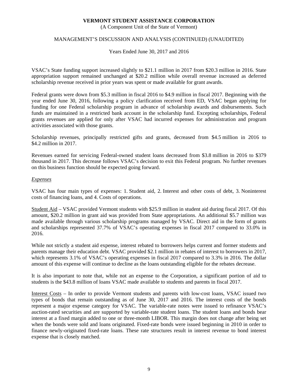(A Component Unit of the State of Vermont)

### MANAGEMENT'S DISCUSSION AND ANALYSIS (CONTINUED) (UNAUDITED)

Years Ended June 30, 2017 and 2016

VSAC's State funding support increased slightly to \$21.1 million in 2017 from \$20.3 million in 2016. State appropriation support remained unchanged at \$20.2 million while overall revenue increased as deferred scholarship revenue received in prior years was spent or made available for grant awards.

Federal grants were down from \$5.3 million in fiscal 2016 to \$4.9 million in fiscal 2017. Beginning with the year ended June 30, 2016, following a policy clarification received from ED, VSAC began applying for funding for one Federal scholarship program in advance of scholarship awards and disbursements. Such funds are maintained in a restricted bank account in the scholarship fund. Excepting scholarships, Federal grants revenues are applied for only after VSAC had incurred expenses for administration and program activities associated with those grants.

Scholarship revenues, principally restricted gifts and grants, decreased from \$4.5 million in 2016 to \$4.2 million in 2017.

Revenues earned for servicing Federal-owned student loans decreased from \$3.8 million in 2016 to \$379 thousand in 2017. This decrease follows VSAC's decision to exit this Federal program. No further revenues on this business function should be expected going forward.

### *Expenses*

VSAC has four main types of expenses: 1. Student aid, 2. Interest and other costs of debt, 3. Noninterest costs of financing loans, and 4. Costs of operations.

Student Aid – VSAC provided Vermont students with \$25.9 million in student aid during fiscal 2017. Of this amount, \$20.2 million in grant aid was provided from State appropriations. An additional \$5.7 million was made available through various scholarship programs managed by VSAC. Direct aid in the form of grants and scholarships represented 37.7% of VSAC's operating expenses in fiscal 2017 compared to 33.0% in 2016.

While not strictly a student aid expense, interest rebated to borrowers helps current and former students and parents manage their education debt. VSAC provided \$2.1 million in rebates of interest to borrowers in 2017, which represents 3.1% of VSAC's operating expenses in fiscal 2017 compared to 3.3% in 2016. The dollar amount of this expense will continue to decline as the loans outstanding eligible for the rebates decrease.

It is also important to note that, while not an expense to the Corporation, a significant portion of aid to students is the \$43.8 million of loans VSAC made available to students and parents in fiscal 2017.

Interest Costs – In order to provide Vermont students and parents with low-cost loans, VSAC issued two types of bonds that remain outstanding as of June 30, 2017 and 2016. The interest costs of the bonds represent a major expense category for VSAC. The variable-rate notes were issued to refinance VSAC's auction-rated securities and are supported by variable-rate student loans. The student loans and bonds bear interest at a fixed margin added to one or three-month LIBOR. This margin does not change after being set when the bonds were sold and loans originated. Fixed-rate bonds were issued beginning in 2010 in order to finance newly-originated fixed-rate loans. These rate structures result in interest revenue to bond interest expense that is closely matched.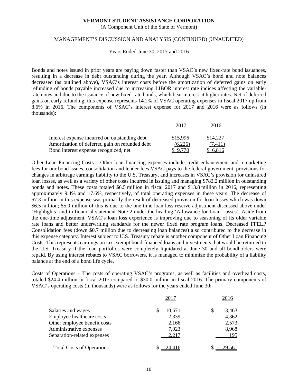(A Component Unit of the State of Vermont)

#### MANAGEMENT'S DISCUSSION AND ANALYSIS (CONTINUED) (UNAUDITED)

Years Ended June 30, 2017 and 2016

Bonds and notes issued in prior years are paying down faster than VSAC's new fixed-rate bond issuances, resulting in a decrease in debt outstanding during the year. Although VSAC's bond and note balances decreased (as outlined above), VSAC's interest costs before the amortization of deferred gains on early refunding of bonds payable increased due to increasing LIBOR interest rate indices affecting the variablerate notes and due to the issuance of new fixed-rate bonds, which bear interest at higher rates. Net of deferred gains on early refunding, this expense represents 14.2% of VSAC operating expenses in fiscal 2017 up from 8.6% in 2016. The components of VSAC's interest expense for 2017 and 2016 were as follows (in thousands):

|                                                | 2011     | 2016     |
|------------------------------------------------|----------|----------|
| Interest expense incurred on outstanding debt  | \$15,996 | \$14,227 |
| Amortization of deferred gain on refunded debt | (6,226)  | (7.411)  |
| Bond interest expense recognized, net          |          | \$6,816  |

Other Loan Financing Costs – Other loan financing expenses include credit enhancement and remarketing fees for our bond issues, consolidation and lender fees VSAC pays to the federal government, provisions for changes in arbitrage earnings liability to the U.S. Treasury, and increases in VSAC's provision for uninsured loan losses, as well as a variety of other costs incurred in issuing and managing \$782.2 million in outstanding bonds and notes. These costs totaled \$6.5 million in fiscal 2017 and \$13.8 million in 2016, representing approximately 9.4% and 17.6%, respectively, of total operating expenses in these years. The decrease of \$7.3 million in this expense was primarily the result of decreased provision for loan losses which was down \$6.5 million; \$5.0 million of this is due to the one time loan loss reserve adjustment discussed above under 'Highlights' and in financial statement Note 2 under the heading 'Allowance for Loan Losses'. Aside from the one-time adjustment, VSAC's loan loss experience is improving due to seasoning of its older variable rate loans and better underwriting standards for the newer fixed rate program loans. Decreased FFELP Consolidation fees (down \$0.7 million due to decreasing loan balances) also contributed to the decrease in this expense category. Interest subject to U.S. Treasury rebate is another component of Other Loan Financing Costs. This represents earnings on tax-exempt bond-financed loans and investments that would be returned to the U.S. Treasury if the loan portfolios were completely liquidated at June 30 and all bondholders were repaid. By using interest rebates to VSAC borrowers, it is managed to minimize the probability of a liability balance at the end of a bond life cycle.

Costs of Operations – The costs of operating VSAC's programs, as well as facilities and overhead costs, totaled \$24.4 million in fiscal 2017 compared to \$30.0 million in fiscal 2016. The primary components of VSAC's operating costs (in thousands) were as follows for the years ended June 30:

|                                  | 2017   | 2016   |
|----------------------------------|--------|--------|
| Salaries and wages               | 10,671 | 13,463 |
| Employee healthcare costs        | 2,339  | 4,362  |
| Other employee benefit costs     | 2,166  | 2,573  |
| Administrative expenses          | 7,023  | 8,968  |
| Separation-related expenses      | 2,217  | 195    |
| <b>Total Costs of Operations</b> | 24.416 | 29.561 |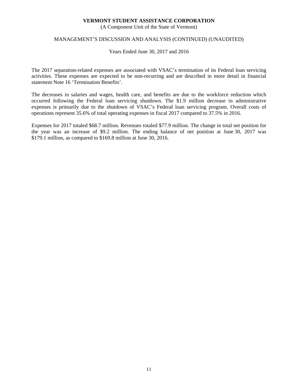(A Component Unit of the State of Vermont)

### MANAGEMENT'S DISCUSSION AND ANALYSIS (CONTINUED) (UNAUDITED)

Years Ended June 30, 2017 and 2016

The 2017 separation-related expenses are associated with VSAC's termination of its Federal loan servicing activities. These expenses are expected to be non-recurring and are described in more detail in financial statement Note 16 'Termination Benefits'.

The decreases in salaries and wages, health care, and benefits are due to the workforce reduction which occurred following the Federal loan servicing shutdown. The \$1.9 million decrease in administrative expenses is primarily due to the shutdown of VSAC's Federal loan servicing program. Overall costs of operations represent 35.6% of total operating expenses in fiscal 2017 compared to 37.5% in 2016.

Expenses for 2017 totaled \$68.7 million. Revenues totaled \$77.9 million. The change in total net position for the year was an increase of \$9.2 million. The ending balance of net position at June 30, 2017 was \$179.1 million, as compared to \$169.8 million at June 30, 2016.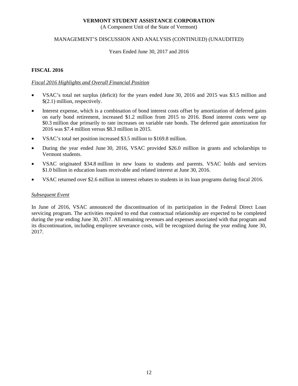(A Component Unit of the State of Vermont)

### MANAGEMENT'S DISCUSSION AND ANALYSIS (CONTINUED) (UNAUDITED)

Years Ended June 30, 2017 and 2016

### **FISCAL 2016**

### *Fiscal 2016 Highlights and Overall Financial Position*

- VSAC's total net surplus (deficit) for the years ended June 30, 2016 and 2015 was \$3.5 million and \$(2.1) million, respectively.
- Interest expense, which is a combination of bond interest costs offset by amortization of deferred gains on early bond retirement, increased \$1.2 million from 2015 to 2016. Bond interest costs were up \$0.3 million due primarily to rate increases on variable rate bonds. The deferred gain amortization for 2016 was \$7.4 million versus \$8.3 million in 2015.
- VSAC's total net position increased \$3.5 million to \$169.8 million.
- During the year ended June 30, 2016, VSAC provided \$26.0 million in grants and scholarships to Vermont students.
- VSAC originated \$34.8 million in new loans to students and parents. VSAC holds and services \$1.0 billion in education loans receivable and related interest at June 30, 2016.
- VSAC returned over \$2.6 million in interest rebates to students in its loan programs during fiscal 2016.

#### *Subsequent Event*

In June of 2016, VSAC announced the discontinuation of its participation in the Federal Direct Loan servicing program. The activities required to end that contractual relationship are expected to be completed during the year ending June 30, 2017. All remaining revenues and expenses associated with that program and its discontinuation, including employee severance costs, will be recognized during the year ending June 30, 2017.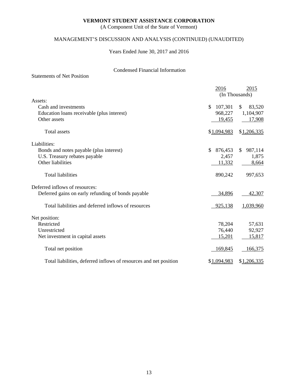(A Component Unit of the State of Vermont)

# MANAGEMENT'S DISCUSSION AND ANALYSIS (CONTINUED) (UNAUDITED)

Years Ended June 30, 2017 and 2016

# Condensed Financial Information

|                                                                   | 2016                    | 2015           |
|-------------------------------------------------------------------|-------------------------|----------------|
|                                                                   |                         | (In Thousands) |
| Assets:                                                           |                         |                |
| Cash and investments                                              | $\mathbb{S}$<br>107,301 | \$<br>83,520   |
| Education loans receivable (plus interest)                        | 968,227                 | 1,104,907      |
| Other assets                                                      | 19,455                  | 17,908         |
| <b>Total assets</b>                                               | \$1,094,983             | \$1,206,335    |
| Liabilities:                                                      |                         |                |
| Bonds and notes payable (plus interest)                           | 876,453<br>\$.          | 987,114<br>\$  |
| U.S. Treasury rebates payable                                     | 2,457                   | 1,875          |
| Other liabilities                                                 | 11,332                  | 8,664          |
|                                                                   |                         |                |
| <b>Total liabilities</b>                                          | 890,242                 | 997,653        |
| Deferred inflows of resources:                                    |                         |                |
| Deferred gains on early refunding of bonds payable                | 34,896                  | 42,307         |
| Total liabilities and deferred inflows of resources               | 925,138                 | 1,039,960      |
| Net position:                                                     |                         |                |
| Restricted                                                        | 78,204                  | 57,631         |
| Unrestricted                                                      | 76,440                  | 92,927         |
| Net investment in capital assets                                  | 15,201                  | 15,817         |
| Total net position                                                | 169,845                 | 166,375        |
| Total liabilities, deferred inflows of resources and net position | \$1,094,983             | \$1,206,335    |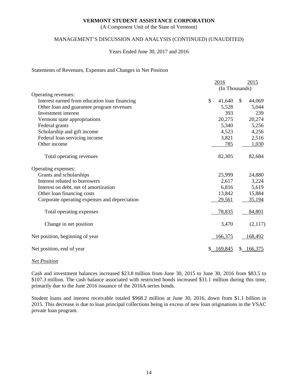(A Component Unit of the State of Vermont)

### MANAGEMENT'S DISCUSSION AND ANALYSIS (CONTINUED) (UNAUDITED)

#### Years Ended June 30, 2017 and 2016

### Statements of Revenues, Expenses and Changes in Net Position

|                                               | 2016<br>2015   |    |         |
|-----------------------------------------------|----------------|----|---------|
|                                               | (In Thousands) |    |         |
| Operating revenues:                           |                |    |         |
| Interest earned from education loan financing | \$<br>41,640   | \$ | 44,069  |
| Other loan and guarantee program revenues     | 5,528          |    | 5,044   |
| Investment interest                           | 393            |    | 239     |
| Vermont state appropriations                  | 20,275         |    | 20,274  |
| Federal grants                                | 5,340          |    | 5,256   |
| Scholarship and gift income                   | 4,523          |    | 4,256   |
| Federal loan servicing income                 | 3,821          |    | 2,516   |
| Other income                                  | 785            |    | 1,030   |
| Total operating revenues                      | 82,305         |    | 82,684  |
| Operating expenses:                           |                |    |         |
| Grants and scholarships                       | 25,999         |    | 24,880  |
| Interest rebated to borrowers                 | 2,617          |    | 3,224   |
| Interest on debt, net of amortization         | 6,816          |    | 5,619   |
| Other loan financing costs                    | 13,842         |    | 15,884  |
| Corporate operating expenses and depreciation | 29,561         |    | 35,194  |
| Total operating expenses                      | 78,835         |    | 84,801  |
| Change in net position                        | 3,470          |    | (2,117) |
| Net position, beginning of year               | 166,375        |    | 168,492 |
| Net position, end of year                     | 169,845        | S. | 166,375 |

#### *Net Position*

Cash and investment balances increased \$23.8 million from June 30, 2015 to June 30, 2016 from \$83.5 to \$107.3 million. The cash balance associated with restricted bonds increased \$31.1 million during this time, primarily due to the June 2016 issuance of the 2016A series bonds.

Student loans and interest receivable totaled \$968.2 million at June 30, 2016, down from \$1.1 billion in 2015. This decrease is due to loan principal collections being in excess of new loan originations in the VSAC private loan program.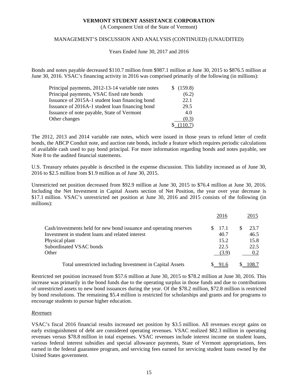(A Component Unit of the State of Vermont)

### MANAGEMENT'S DISCUSSION AND ANALYSIS (CONTINUED) (UNAUDITED)

Years Ended June 30, 2017 and 2016

Bonds and notes payable decreased \$110.7 million from \$987.1 million at June 30, 2015 to \$876.5 million at June 30, 2016. VSAC's financing activity in 2016 was comprised primarily of the following (in millions):

| Principal payments, 2012-13-14 variable rate notes | \$(159.8) |
|----------------------------------------------------|-----------|
| Principal payments, VSAC fixed rate bonds          | (6.2)     |
| Issuance of 2015A-1 student loan financing bond    | 22.1      |
| Issuance of 2016A-1 student loan financing bond    | 29.5      |
| Issuance of note payable, State of Vermont         | 4.0       |
| Other changes                                      | (0.3)     |
|                                                    | (110.7)   |

The 2012, 2013 and 2014 variable rate notes, which were issued in those years to refund letter of credit bonds, the ABCP Conduit note, and auction rate bonds, include a feature which requires periodic calculations of available cash used to pay bond principal. For more information regarding bonds and notes payable, see Note 8 to the audited financial statements.

U.S. Treasury rebates payable is described in the expense discussion. This liability increased as of June 30, 2016 to \$2.5 million from \$1.9 million as of June 30, 2015.

Unrestricted net position decreased from \$92.9 million at June 30, 2015 to \$76.4 million at June 30, 2016. Including the Net Investment in Capital Assets section of Net Position, the year over year decrease is \$17.1 million. VSAC's unrestricted net position at June 30, 2016 and 2015 consists of the following (in millions):

|                                                                    | 2016  | 2015  |
|--------------------------------------------------------------------|-------|-------|
| Cash/investments held for new bond issuance and operating reserves | 17.1  | 23.7  |
| Investment in student loans and related interest                   | 40.7  | 46.5  |
| Physical plant                                                     | 15.2  | 15.8  |
| Subordinated VSAC bonds                                            | 22.5  | 22.5  |
| Other                                                              | (3.9) | 0.2   |
| Total unrestricted including Investment in Capital Assets          |       | 108.7 |

Restricted net position increased from \$57.6 million at June 30, 2015 to \$78.2 million at June 30, 2016. This increase was primarily in the bond funds due to the operating surplus in those funds and due to contributions of unrestricted assets to new bond issuances during the year. Of the \$78.2 million, \$72.8 million is restricted by bond resolutions. The remaining \$5.4 million is restricted for scholarships and grants and for programs to encourage students to pursue higher education.

### *Revenues*

VSAC's fiscal 2016 financial results increased net position by \$3.5 million. All revenues except gains on early extinguishment of debt are considered operating revenues. VSAC realized \$82.3 million in operating revenues versus \$78.8 million in total expenses. VSAC revenues include interest income on student loans, various federal interest subsidies and special allowance payments, State of Vermont appropriations, fees earned in the federal guarantee program, and servicing fees earned for servicing student loans owned by the United States government.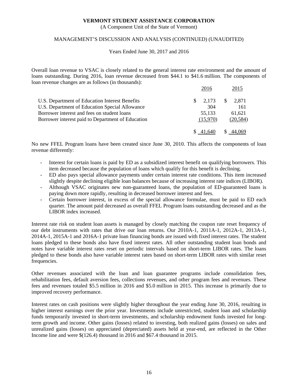(A Component Unit of the State of Vermont)

### MANAGEMENT'S DISCUSSION AND ANALYSIS (CONTINUED) (UNAUDITED)

#### Years Ended June 30, 2017 and 2016

Overall loan revenue to VSAC is closely related to the general interest rate environment and the amount of loans outstanding. During 2016, loan revenue decreased from \$44.1 to \$41.6 million. The components of loan revenue changes are as follows (in thousands):

|                                                   | 2016        | 2015                  |
|---------------------------------------------------|-------------|-----------------------|
| U.S. Department of Education Interest Benefits    | 2.173<br>S. | <sup>S</sup><br>2.871 |
| U.S. Department of Education Special Allowance    | 304         | 161                   |
| Borrower interest and fees on student loans       | 55,133      | 61.621                |
| Borrower interest paid to Department of Education | (15.970)    | (20, 584)             |
|                                                   |             |                       |

No new FFEL Program loans have been created since June 30, 2010. This affects the components of loan revenue differently:

- Interest for certain loans is paid by ED as a subsidized interest benefit on qualifying borrowers. This item decreased because the population of loans which qualify for this benefit is declining.
- ED also pays special allowance payments under certain interest rate conditions. This item increased slightly despite declining eligible loan balances because of increasing interest rate indices (LIBOR).
- Although VSAC originates new non-guaranteed loans, the population of ED-guaranteed loans is paying down more rapidly, resulting in decreased borrower interest and fees.
- Certain borrower interest, in excess of the special allowance formulae, must be paid to ED each quarter. The amount paid decreased as overall FFEL Program loans outstanding decreased and as the LIBOR index increased.

Interest rate risk on student loan assets is managed by closely matching the coupon rate reset frequency of our debt instruments with rates that drive our loan returns. Our 2010A-1, 2011A-1, 2012A-1, 2013A-1, 2014A-1, 2015A-1 and 2016A-1 private loan financing bonds are issued with fixed interest rates. The student loans pledged to these bonds also have fixed interest rates. All other outstanding student loan bonds and notes have variable interest rates reset on periodic intervals based on short-term LIBOR rates. The loans pledged to these bonds also have variable interest rates based on short-term LIBOR rates with similar reset frequencies.

Other revenues associated with the loan and loan guarantee programs include consolidation fees, rehabilitation fees, default aversion fees, collections revenues, and other program fees and revenues. These fees and revenues totaled \$5.5 million in 2016 and \$5.0 million in 2015. This increase is primarily due to improved recovery performance.

Interest rates on cash positions were slightly higher throughout the year ending June 30, 2016, resulting in higher interest earnings over the prior year. Investments include unrestricted, student loan and scholarship funds temporarily invested in short-term investments, and scholarship endowment funds invested for longterm growth and income. Other gains (losses) related to investing, both realized gains (losses) on sales and unrealized gains (losses) on appreciated (depreciated) assets held at year-end, are reflected in the Other Income line and were \$(126.4) thousand in 2016 and \$67.4 thousand in 2015.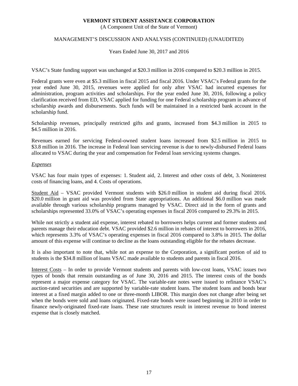(A Component Unit of the State of Vermont)

### MANAGEMENT'S DISCUSSION AND ANALYSIS (CONTINUED) (UNAUDITED)

Years Ended June 30, 2017 and 2016

VSAC's State funding support was unchanged at \$20.3 million in 2016 compared to \$20.3 million in 2015.

Federal grants were even at \$5.3 million in fiscal 2015 and fiscal 2016. Under VSAC's Federal grants for the year ended June 30, 2015, revenues were applied for only after VSAC had incurred expenses for administration, program activities and scholarships. For the year ended June 30, 2016, following a policy clarification received from ED, VSAC applied for funding for one Federal scholarship program in advance of scholarship awards and disbursements. Such funds will be maintained in a restricted bank account in the scholarship fund.

Scholarship revenues, principally restricted gifts and grants, increased from \$4.3 million in 2015 to \$4.5 million in 2016.

Revenues earned for servicing Federal-owned student loans increased from \$2.5 million in 2015 to \$3.8 million in 2016. The increase in Federal loan servicing revenue is due to newly-disbursed Federal loans allocated to VSAC during the year and compensation for Federal loan servicing systems changes.

### *Expenses*

VSAC has four main types of expenses: 1. Student aid, 2. Interest and other costs of debt, 3. Noninterest costs of financing loans, and 4. Costs of operations.

Student Aid – VSAC provided Vermont students with \$26.0 million in student aid during fiscal 2016. \$20.0 million in grant aid was provided from State appropriations. An additional \$6.0 million was made available through various scholarship programs managed by VSAC. Direct aid in the form of grants and scholarships represented 33.0% of VSAC's operating expenses in fiscal 2016 compared to 29.3% in 2015.

While not strictly a student aid expense, interest rebated to borrowers helps current and former students and parents manage their education debt. VSAC provided \$2.6 million in rebates of interest to borrowers in 2016, which represents 3.3% of VSAC's operating expenses in fiscal 2016 compared to 3.8% in 2015. The dollar amount of this expense will continue to decline as the loans outstanding eligible for the rebates decrease.

It is also important to note that, while not an expense to the Corporation, a significant portion of aid to students is the \$34.8 million of loans VSAC made available to students and parents in fiscal 2016.

Interest Costs – In order to provide Vermont students and parents with low-cost loans, VSAC issues two types of bonds that remain outstanding as of June 30, 2016 and 2015. The interest costs of the bonds represent a major expense category for VSAC. The variable-rate notes were issued to refinance VSAC's auction-rated securities and are supported by variable-rate student loans. The student loans and bonds bear interest at a fixed margin added to one or three-month LIBOR. This margin does not change after being set when the bonds were sold and loans originated. Fixed-rate bonds were issued beginning in 2010 in order to finance newly-originated fixed-rate loans. These rate structures result in interest revenue to bond interest expense that is closely matched.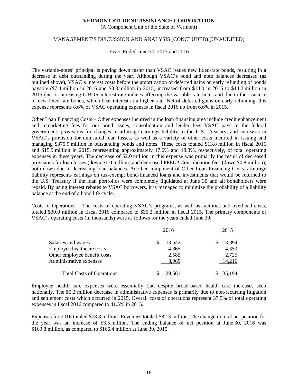(A Component Unit of the State of Vermont)

#### MANAGEMENT'S DISCUSSION AND ANALYSIS (CONCLUDED) (UNAUDITED)

Years Ended June 30, 2017 and 2016

The variable-notes' principal is paying down faster than VSAC issues new fixed-rate bonds, resulting in a decrease in debt outstanding during the year. Although VSAC's bond and note balances decreased (as outlined above), VSAC's interest costs before the amortization of deferred gains on early refunding of bonds payable (\$7.4 million in 2016 and \$8.3 million in 2015) increased from \$14.0 in 2015 to \$14.2 million in 2016 due to increasing LIBOR interest rate indices affecting the variable-rate notes and due to the issuance of new fixed-rate bonds, which bear interest at a higher rate. Net of deferred gains on early refunding, this expense represents 8.6% of VSAC operating expenses in fiscal 2016 up from 6.6% in 2015.

Other Loan Financing Costs – Other expenses incurred in the loan financing area include credit enhancement and remarketing fees for our bond issues, consolidation and lender fees VSAC pays to the federal government, provisions for changes in arbitrage earnings liability to the U.S. Treasury, and increases in VSAC's provision for uninsured loan losses, as well as a variety of other costs incurred in issuing and managing \$875.9 million in outstanding bonds and notes. These costs totaled \$13.8 million in fiscal 2016 and \$15.9 million in 2015, representing approximately 17.6% and 18.8%, respectively, of total operating expenses in these years. The decrease of \$2.0 million in this expense was primarily the result of decreased provisions for loan losses (down \$1.0 million) and decreased FFELP Consolidation fees (down \$0.8 million), both down due to decreasing loan balances. Another component of Other Loan Financing Costs, arbitrage liability represents earnings on tax-exempt bond-financed loans and investments that would be returned to the U.S. Treasury if the loan portfolios were completely liquidated at June 30 and all bondholders were repaid. By using interest rebates to VSAC borrowers, it is managed to minimize the probability of a liability balance at the end of a bond life cycle.

Costs of Operations – The costs of operating VSAC's programs, as well as facilities and overhead costs, totaled \$30.0 million in fiscal 2016 compared to \$35.2 million in fiscal 2015. The primary components of VSAC's operating costs (in thousands) were as follows for the years ended June 30:

|                                  | 2016   | 2015   |
|----------------------------------|--------|--------|
| Salaries and wages               | 13,642 | 13,894 |
| Employee healthcare costs        | 4,365  | 4,359  |
| Other employee benefit costs     | 2,585  | 2,725  |
| Administrative expenses          | 8,969  | 14,216 |
| <b>Total Costs of Operations</b> |        |        |

Employee health care expenses were essentially flat, despite broad-based health care increases seen nationally. The \$5.2 million decrease in administrative expenses is primarily due to non-recurring litigation and settlement costs which occurred in 2015. Overall costs of operations represent 37.5% of total operating expenses in fiscal 2016 compared to 41.5% in 2015.

Expenses for 2016 totaled \$78.8 million. Revenues totaled \$82.3 million. The change in total net position for the year was an increase of \$3.5 million. The ending balance of net position at June 30, 2016 was \$169.8 million, as compared to \$166.4 million at June 30, 2015.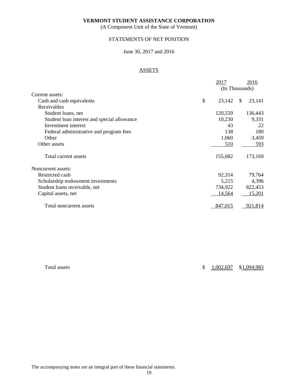(A Component Unit of the State of Vermont)

## STATEMENTS OF NET POSITION

### June 30, 2017 and 2016

# ASSETS

|                                             | 2017           |              | 2016    |
|---------------------------------------------|----------------|--------------|---------|
|                                             | (In Thousands) |              |         |
| Current assets:                             |                |              |         |
| Cash and cash equivalents                   | \$<br>23,142   | <sup>S</sup> | 23,141  |
| Receivables                                 |                |              |         |
| Student loans, net                          | 120,559        |              | 136,443 |
| Student loan interest and special allowance | 10,230         |              | 9,331   |
| Investment interest                         | 43             |              | 22      |
| Federal administrative and program fees     | 138            |              | 180     |
| Other                                       | 1,060          |              | 3,459   |
| Other assets                                | 510            |              | 593     |
| Total current assets                        | 155,682        |              | 173,169 |
| Noncurrent assets:                          |                |              |         |
| Restricted cash                             | 92,314         |              | 79,764  |
| Scholarship endowment investments           | 5,215          |              | 4,396   |
| Student loans receivable, net               | 734,922        |              | 822,453 |
| Capital assets, net                         | 14,564         |              | 15,201  |
| Total noncurrent assets                     | 847,015        |              | 921,814 |

|  | Total assets |
|--|--------------|
|--|--------------|

 $\frac{1,002,697}{1,094,983}$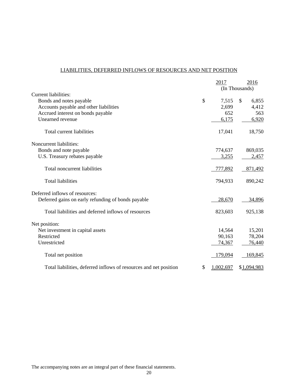# LIABILITIES, DEFERRED INFLOWS OF RESOURCES AND NET POSITION

|                                                                   | 2017            | 2016           |
|-------------------------------------------------------------------|-----------------|----------------|
|                                                                   |                 | (In Thousands) |
| Current liabilities:                                              |                 |                |
| Bonds and notes payable                                           | \$<br>7,515     | \$<br>6,855    |
| Accounts payable and other liabilities                            | 2,699           | 4,412          |
| Accrued interest on bonds payable                                 | 652             | 563            |
| Unearned revenue                                                  | 6,175           | 6,920          |
| Total current liabilities                                         | 17,041          | 18,750         |
| Noncurrent liabilities:                                           |                 |                |
| Bonds and note payable                                            | 774,637         | 869,035        |
| U.S. Treasury rebates payable                                     | 3,255           | 2,457          |
| Total noncurrent liabilities                                      | 777,892         | 871,492        |
| <b>Total liabilities</b>                                          | 794,933         | 890,242        |
| Deferred inflows of resources:                                    |                 |                |
| Deferred gains on early refunding of bonds payable                | 28,670          | 34,896         |
| Total liabilities and deferred inflows of resources               | 823,603         | 925,138        |
| Net position:                                                     |                 |                |
| Net investment in capital assets                                  | 14,564          | 15,201         |
| Restricted                                                        | 90,163          | 78,204         |
| Unrestricted                                                      | 74,367          | 76,440         |
| Total net position                                                | 179,094         | 169,845        |
| Total liabilities, deferred inflows of resources and net position | \$<br>1,002,697 | \$1,094,983    |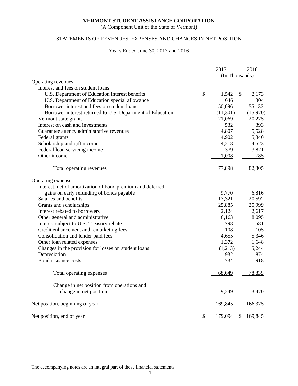(A Component Unit of the State of Vermont)

# STATEMENTS OF REVENUES, EXPENSES AND CHANGES IN NET POSITION

#### Years Ended June 30, 2017 and 2016

|                                                            | 2017           | 2016        |
|------------------------------------------------------------|----------------|-------------|
|                                                            | (In Thousands) |             |
| Operating revenues:                                        |                |             |
| Interest and fees on student loans:                        |                |             |
| U.S. Department of Education interest benefits             | \$<br>1,542    | \$<br>2,173 |
| U.S. Department of Education special allowance             | 646            | 304         |
| Borrower interest and fees on student loans                | 50,096         | 55,133      |
| Borrower interest returned to U.S. Department of Education | (11,301)       | (15,970)    |
| Vermont state grants                                       | 21,069         | 20,275      |
| Interest on cash and investments                           | 532            | 393         |
| Guarantee agency administrative revenues                   | 4,807          | 5,528       |
| Federal grants                                             | 4,902          | 5,340       |
| Scholarship and gift income                                | 4,218          | 4,523       |
| Federal loan servicing income                              | 379            | 3,821       |
| Other income                                               | 1,008          | 785         |
| Total operating revenues                                   | 77,898         | 82,305      |
| Operating expenses:                                        |                |             |
| Interest, net of amortization of bond premium and deferred |                |             |
| gains on early refunding of bonds payable                  | 9,770          | 6,816       |
| Salaries and benefits                                      | 17,321         | 20,592      |
| Grants and scholarships                                    | 25,885         | 25,999      |
| Interest rebated to borrowers                              | 2,124          | 2,617       |
| Other general and administrative                           | 6,163          | 8,095       |
| Interest subject to U.S. Treasury rebate                   | 798            | 581         |
| Credit enhancement and remarketing fees                    | 108            | 105         |
| Consolidation and lender paid fees                         | 4,655          | 5,346       |
| Other loan related expenses                                | 1,372          | 1,648       |
| Changes in the provision for losses on student loans       | (1,213)        | 5,244       |
| Depreciation                                               | 932            | 874         |
| Bond issuance costs                                        | 734            | 918         |
| Total operating expenses                                   | 68,649         | 78,835      |
| Change in net position from operations and                 |                |             |
| change in net position                                     | 9,249          | 3,470       |
| Net position, beginning of year                            | 169,845        | 166,375     |
| Net position, end of year                                  | \$<br>179,094  | \$169,845   |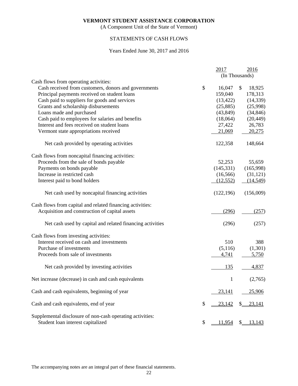(A Component Unit of the State of Vermont)

# STATEMENTS OF CASH FLOWS

### Years Ended June 30, 2017 and 2016

|                                                                                                | 2017         | 2016           |
|------------------------------------------------------------------------------------------------|--------------|----------------|
|                                                                                                |              | (In Thousands) |
| Cash flows from operating activities:                                                          |              |                |
| Cash received from customers, donors and governments                                           | \$<br>16,047 | \$<br>18,925   |
| Principal payments received on student loans                                                   | 159,040      | 178,313        |
| Cash paid to suppliers for goods and services                                                  | (13, 422)    | (14, 339)      |
| Grants and scholarship disbursements                                                           | (25,885)     | (25,998)       |
| Loans made and purchased                                                                       | (43, 849)    | (34, 846)      |
| Cash paid to employees for salaries and benefits                                               | (18,064)     | (20, 449)      |
| Interest and fees received on student loans                                                    | 27,422       | 26,783         |
| Vermont state appropriations received                                                          | 21,069       | 20,275         |
| Net cash provided by operating activities                                                      | 122,358      | 148,664        |
| Cash flows from noncapital financing activities:                                               |              |                |
| Proceeds from the sale of bonds payable                                                        | 52,253       | 55,659         |
| Payments on bonds payable                                                                      | (145, 331)   | (165,998)      |
| Increase in restricted cash                                                                    | (16, 566)    | (31, 121)      |
| Interest paid to bond holders                                                                  | (12, 552)    | (14, 549)      |
| Net cash used by noncapital financing activities                                               | (122, 196)   | (156,009)      |
| Cash flows from capital and related financing activities:                                      |              |                |
| Acquisition and construction of capital assets                                                 | (296)        | (257)          |
| Net cash used by capital and related financing activities                                      | (296)        | (257)          |
| Cash flows from investing activities:                                                          |              |                |
| Interest received on cash and investments                                                      | 510          | 388            |
| Purchase of investments                                                                        | (5,116)      | (1,301)        |
| Proceeds from sale of investments                                                              | 4,741        | 5,750          |
| Net cash provided by investing activities                                                      | 135          | 4,837          |
| Net increase (decrease) in cash and cash equivalents                                           | $\mathbf{1}$ | (2,765)        |
| Cash and cash equivalents, beginning of year                                                   | 23,141       | 25,906         |
| Cash and cash equivalents, end of year                                                         | \$<br>23,142 | 23,141<br>S.   |
| Supplemental disclosure of non-cash operating activities:<br>Student loan interest capitalized | \$<br>11,954 | <u>13,143</u>  |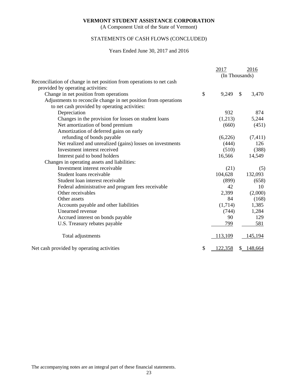(A Component Unit of the State of Vermont)

# STATEMENTS OF CASH FLOWS (CONCLUDED)

#### Years Ended June 30, 2017 and 2016

|                                                                      | 2017                 |              | 2016     |
|----------------------------------------------------------------------|----------------------|--------------|----------|
|                                                                      | (In Thousands)       |              |          |
| Reconciliation of change in net position from operations to net cash |                      |              |          |
| provided by operating activities:                                    |                      |              |          |
| Change in net position from operations                               | \$<br>9,249          | $\mathbb{S}$ | 3,470    |
| Adjustments to reconcile change in net position from operations      |                      |              |          |
| to net cash provided by operating activities:                        |                      |              |          |
| Depreciation                                                         | 932                  |              | 874      |
| Changes in the provision for losses on student loans                 | (1,213)              |              | 5,244    |
| Net amortization of bond premium                                     | (660)                |              | (451)    |
| Amortization of deferred gains on early                              |                      |              |          |
| refunding of bonds payable                                           | (6,226)              |              | (7, 411) |
| Net realized and unrealized (gains) losses on investments            | (444)                |              | 126      |
| Investment interest received                                         | (510)                |              | (388)    |
| Interest paid to bond holders                                        | 16,566               |              | 14,549   |
| Changes in operating assets and liabilities:                         |                      |              |          |
| Investment interest receivable                                       | (21)                 |              | (5)      |
| Student loans receivable                                             | 104,628              |              | 132,093  |
| Student loan interest receivable                                     | (899)                |              | (658)    |
| Federal administrative and program fees receivable                   | 42                   |              | 10       |
| Other receivables                                                    | 2,399                |              | (2,000)  |
| Other assets                                                         | 84                   |              | (168)    |
| Accounts payable and other liabilities                               | (1,714)              |              | 1,385    |
| Unearned revenue                                                     | (744)                |              | 1,284    |
| Accrued interest on bonds payable                                    | 90                   |              | 129      |
| U.S. Treasury rebates payable                                        | 799                  |              | 581      |
| Total adjustments                                                    | 113,109              |              | 145,194  |
| Net cash provided by operating activities                            | \$<br><u>122,358</u> | S.           | 148,664  |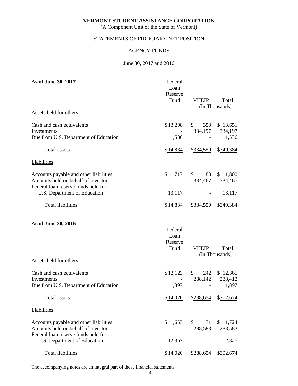(A Component Unit of the State of Vermont)

# STATEMENTS OF FIDUCIARY NET POSITION

### AGENCY FUNDS

### June 30, 2017 and 2016

| As of June 30, 2017                                                                                                  | Federal<br>Loan<br>Reserve<br>Fund | <b>VHEIP</b>                   | <b>Total</b><br>(In Thousands) |
|----------------------------------------------------------------------------------------------------------------------|------------------------------------|--------------------------------|--------------------------------|
| Assets held for others                                                                                               |                                    |                                |                                |
| Cash and cash equivalents<br>Investments<br>Due from U.S. Department of Education                                    | \$13,298<br>1,536                  | 353<br>\$<br>334,197           | \$13,651<br>334,197<br>1,536   |
| <b>Total</b> assets                                                                                                  | \$14,834                           | \$334,550                      | \$349,384                      |
| <b>Liabilities</b>                                                                                                   |                                    |                                |                                |
| Accounts payable and other liabilities<br>Amounts held on behalf of investors<br>Federal loan reserve funds held for | \$1,717                            | 83<br>$\mathbb{S}$<br>334,467  | \$1,800<br>334,467             |
| U.S. Department of Education                                                                                         | <u>13,117</u>                      | $\overline{\phantom{a}}$       | <u>13,117</u>                  |
| <b>Total liabilities</b>                                                                                             | \$14,834                           | \$334,550                      | \$349,384                      |
| As of June 30, 2016                                                                                                  | Federal<br>Loan<br>Reserve<br>Fund | <b>VHEIP</b>                   | Total<br>(In Thousands)        |
| Assets held for others                                                                                               |                                    |                                |                                |
| Cash and cash equivalents<br>Investments<br>Due from U.S. Department of Education                                    | \$12,123<br>1,897                  | $\mathbb{S}$<br>242<br>288,142 | \$12,365<br>288,412<br>1,897   |
| Total assets                                                                                                         | \$14,020                           |                                | \$288,654 \$302,674            |
| <b>Liabilities</b>                                                                                                   |                                    |                                |                                |
| Accounts payable and other liabilities<br>Amounts held on behalf of investors<br>Federal loan reserve funds held for | \$1,653                            | \$<br>71<br>288,583            | 1,724<br>\$<br>288,583         |
| U.S. Department of Education                                                                                         | 12,367                             |                                | 12,327                         |
| <b>Total liabilities</b>                                                                                             | \$14,020                           | \$288,654                      | \$302,674                      |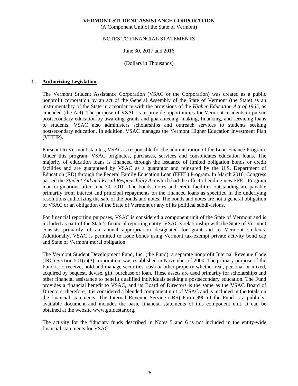(A Component Unit of the State of Vermont)

### NOTES TO FINANCIAL STATEMENTS

### June 30, 2017 and 2016

### (Dollars in Thousands)

### **1. Authorizing Legislation**

The Vermont Student Assistance Corporation (VSAC or the Corporation) was created as a public nonprofit corporation by an act of the General Assembly of the State of Vermont (the State) as an instrumentality of the State in accordance with the provisions of the *Higher Education Act of 1965*, as amended (the Act). The purpose of VSAC is to provide opportunities for Vermont residents to pursue postsecondary education by awarding grants and guaranteeing, making, financing, and servicing loans to students. VSAC also administers scholarships and outreach services to students seeking postsecondary education. In addition, VSAC manages the Vermont Higher Education Investment Plan (VHEIP).

Pursuant to Vermont statutes, VSAC is responsible for the administration of the Loan Finance Program. Under this program, VSAC originates, purchases, services and consolidates education loans. The majority of education loans is financed through the issuance of limited obligation bonds or credit facilities and are guaranteed by VSAC as a guarantor and reinsured by the U.S. Department of Education (ED) through the Federal Family Education Loan (FFEL) Program. In March 2010, Congress passed the *Student Aid and Fiscal Responsibility Act* which had the effect of ending new FFEL Program loan originations after June 30, 2010. The bonds, notes and credit facilities outstanding are payable primarily from interest and principal repayments on the financed loans as specified in the underlying resolutions authorizing the sale of the bonds and notes. The bonds and notes are not a general obligation of VSAC or an obligation of the State of Vermont or any of its political subdivisions.

For financial reporting purposes, VSAC is considered a component unit of the State of Vermont and is included as part of the State's financial reporting entity. VSAC's relationship with the State of Vermont consists primarily of an annual appropriation designated for grant aid to Vermont students. Additionally, VSAC is permitted to issue bonds using Vermont tax-exempt private activity bond cap and State of Vermont moral obligation.

The Vermont Student Development Fund, Inc. (the Fund), a separate nonprofit Internal Revenue Code  $(IRC)$  Section  $501(c)(3)$  corporation, was established in November of 2000. The primary purpose of the Fund is to receive, hold and manage securities, cash or other property whether real, personal or mixed, acquired by bequest, devise, gift, purchase or loan. These assets are used primarily for scholarships and other financial assistance to benefit qualified individuals seeking a postsecondary education. The Fund provides a financial benefit to VSAC, and its Board of Directors is the same as the VSAC Board of Directors; therefore, it is considered a blended component unit of VSAC and is included in the totals on the financial statements. The Internal Revenue Service (IRS) Form 990 of the Fund is a publiclyavailable document and includes the basic financial statements of this component unit. It can be obtained at the website www.guidestar.org.

The activity for the fiduciary funds described in Notes 5 and 6 is not included in the entity-wide financial statements for VSAC.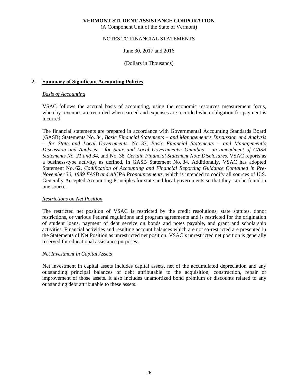(A Component Unit of the State of Vermont)

### NOTES TO FINANCIAL STATEMENTS

### June 30, 2017 and 2016

### (Dollars in Thousands)

### **2. Summary of Significant Accounting Policies**

### *Basis of Accounting*

VSAC follows the accrual basis of accounting, using the economic resources measurement focus, whereby revenues are recorded when earned and expenses are recorded when obligation for payment is incurred.

The financial statements are prepared in accordance with Governmental Accounting Standards Board (GASB) Statements No. 34, *Basic Financial Statements – and Management's Discussion and Analysis – for State and Local Governments*, No. 37, *Basic Financial Statements – and Management's Discussion and Analysis – for State and Local Governments: Omnibus – an amendment of GASB Statements No. 21 and 34*, and No. 38, *Certain Financial Statement Note Disclosures*. VSAC reports as a business-type activity, as defined, in GASB Statement No. 34. Additionally, VSAC has adopted Statement No. 62, *Codification of Accounting and Financial Reporting Guidance Contained in Pre-November 30, 1989 FASB and AICPA Pronouncements,* which is intended to codify all sources of U.S. Generally Accepted Accounting Principles for state and local governments so that they can be found in one source.

### *Restrictions on Net Position*

The restricted net position of VSAC is restricted by the credit resolutions, state statutes, donor restrictions, or various Federal regulations and program agreements and is restricted for the origination of student loans, payment of debt service on bonds and notes payable, and grant and scholarship activities. Financial activities and resulting account balances which are not so-restricted are presented in the Statements of Net Position as unrestricted net position. VSAC's unrestricted net position is generally reserved for educational assistance purposes.

#### *Net Investment in Capital Assets*

Net investment in capital assets includes capital assets, net of the accumulated depreciation and any outstanding principal balances of debt attributable to the acquisition, construction, repair or improvement of those assets. It also includes unamortized bond premium or discounts related to any outstanding debt attributable to these assets.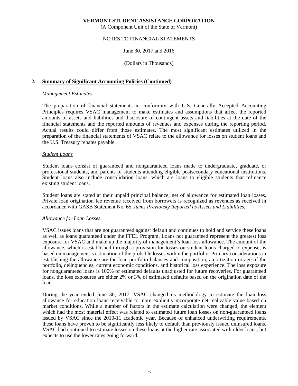(A Component Unit of the State of Vermont)

### NOTES TO FINANCIAL STATEMENTS

### June 30, 2017 and 2016

#### (Dollars in Thousands)

### **2. Summary of Significant Accounting Policies (Continued)**

#### *Management Estimates*

The preparation of financial statements in conformity with U.S. Generally Accepted Accounting Principles requires VSAC management to make estimates and assumptions that affect the reported amounts of assets and liabilities and disclosure of contingent assets and liabilities at the date of the financial statements and the reported amounts of revenues and expenses during the reporting period. Actual results could differ from those estimates. The most significant estimates utilized in the preparation of the financial statements of VSAC relate to the allowance for losses on student loans and the U.S. Treasury rebates payable.

#### *Student Loans*

Student loans consist of guaranteed and nonguaranteed loans made to undergraduate, graduate, or professional students, and parents of students attending eligible postsecondary educational institutions. Student loans also include consolidation loans, which are loans to eligible students that refinance existing student loans.

Student loans are stated at their unpaid principal balance, net of allowance for estimated loan losses. Private loan origination fee revenue received from borrowers is recognized as revenues as received in accordance with GASB Statement No. 65, *Items Previously Reported as Assets and Liabilities.* 

#### *Allowance for Loan Losses*

VSAC issues loans that are not guaranteed against default and continues to hold and service these loans as well as loans guaranteed under the FFEL Program. Loans not guaranteed represent the greatest loss exposure for VSAC and make up the majority of management's loan loss allowance. The amount of the allowance, which is established through a provision for losses on student loans charged to expense, is based on management's estimation of the probable losses within the portfolio. Primary considerations in establishing the allowance are the loan portfolio balances and composition, amortization or age of the portfolio, delinquencies, current economic conditions, and historical loss experience. The loss exposure for nonguaranteed loans is 100% of estimated defaults unadjusted for future recoveries. For guaranteed loans, the loss exposures are either 2% or 3% of estimated defaults based on the origination date of the loan.

During the year ended June 30, 2017, VSAC changed its methodology to estimate the loan loss allowance for education loans receivable to more explicitly incorporate net realizable value based on market conditions. While a number of factors in the estimate calculation were changed, the element which had the most material effect was related to estimated future loan losses on non-guaranteed loans issued by VSAC since the 2010-11 academic year. Because of enhanced underwriting requirements, these loans have proven to be significantly less likely to default than previously issued uninsured loans. VSAC had continued to estimate losses on these loans at the higher rate associated with older loans, but expects to use the lower rates going forward.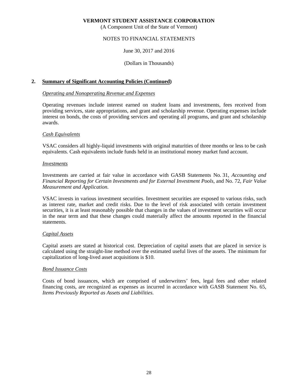(A Component Unit of the State of Vermont)

### NOTES TO FINANCIAL STATEMENTS

### June 30, 2017 and 2016

### (Dollars in Thousands)

### **2. Summary of Significant Accounting Policies (Continued)**

#### *Operating and Nonoperating Revenue and Expenses*

Operating revenues include interest earned on student loans and investments, fees received from providing services, state appropriations, and grant and scholarship revenue. Operating expenses include interest on bonds, the costs of providing services and operating all programs, and grant and scholarship awards.

#### *Cash Equivalents*

VSAC considers all highly-liquid investments with original maturities of three months or less to be cash equivalents. Cash equivalents include funds held in an institutional money market fund account.

#### *Investments*

Investments are carried at fair value in accordance with GASB Statements No. 31, *Accounting and Financial Reporting for Certain Investments and for External Investment Pools*, and No. 72, *Fair Value Measurement and Application*.

VSAC invests in various investment securities. Investment securities are exposed to various risks, such as interest rate, market and credit risks. Due to the level of risk associated with certain investment securities, it is at least reasonably possible that changes in the values of investment securities will occur in the near term and that these changes could materially affect the amounts reported in the financial statements.

#### *Capital Assets*

Capital assets are stated at historical cost. Depreciation of capital assets that are placed in service is calculated using the straight-line method over the estimated useful lives of the assets. The minimum for capitalization of long-lived asset acquisitions is \$10.

#### *Bond Issuance Costs*

Costs of bond issuances, which are comprised of underwriters' fees, legal fees and other related financing costs, are recognized as expenses as incurred in accordance with GASB Statement No. 65, *Items Previously Reported as Assets and Liabilities.*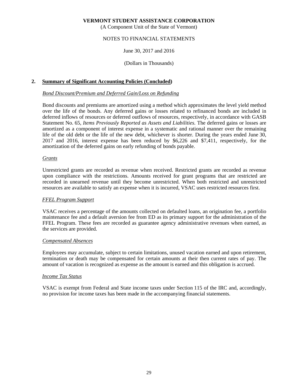(A Component Unit of the State of Vermont)

# NOTES TO FINANCIAL STATEMENTS

### June 30, 2017 and 2016

### (Dollars in Thousands)

### **2. Summary of Significant Accounting Policies (Concluded)**

### *Bond Discount/Premium and Deferred Gain/Loss on Refunding*

Bond discounts and premiums are amortized using a method which approximates the level yield method over the life of the bonds. Any deferred gains or losses related to refinanced bonds are included in deferred inflows of resources or deferred outflows of resources, respectively, in accordance with GASB Statement No. 65, *Items Previously Reported as Assets and Liabilities.* The deferred gains or losses are amortized as a component of interest expense in a systematic and rational manner over the remaining life of the old debt or the life of the new debt, whichever is shorter. During the years ended June 30, 2017 and 2016, interest expense has been reduced by \$6,226 and \$7,411, respectively, for the amortization of the deferred gains on early refunding of bonds payable.

### *Grants*

Unrestricted grants are recorded as revenue when received. Restricted grants are recorded as revenue upon compliance with the restrictions. Amounts received for grant programs that are restricted are recorded in unearned revenue until they become unrestricted. When both restricted and unrestricted resources are available to satisfy an expense when it is incurred, VSAC uses restricted resources first.

### *FFEL Program Support*

VSAC receives a percentage of the amounts collected on defaulted loans, an origination fee, a portfolio maintenance fee and a default aversion fee from ED as its primary support for the administration of the FFEL Program. These fees are recorded as guarantee agency administrative revenues when earned, as the services are provided.

#### *Compensated Absences*

Employees may accumulate, subject to certain limitations, unused vacation earned and upon retirement, termination or death may be compensated for certain amounts at their then current rates of pay. The amount of vacation is recognized as expense as the amount is earned and this obligation is accrued.

#### *Income Tax Status*

VSAC is exempt from Federal and State income taxes under Section 115 of the IRC and, accordingly, no provision for income taxes has been made in the accompanying financial statements.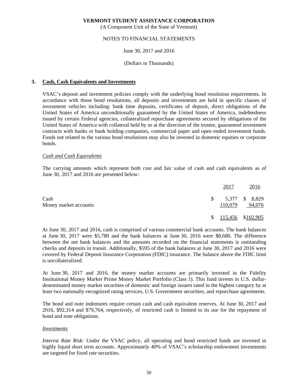(A Component Unit of the State of Vermont)

# NOTES TO FINANCIAL STATEMENTS

### June 30, 2017 and 2016

### (Dollars in Thousands)

### **3. Cash, Cash Equivalents and Investments**

VSAC's deposit and investment policies comply with the underlying bond resolution requirements. In accordance with those bond resolutions, all deposits and investments are held in specific classes of investment vehicles including: bank time deposits, certificates of deposit, direct obligations of the United States of America unconditionally guaranteed by the United States of America, indebtedness issued by certain Federal agencies, collateralized repurchase agreements secured by obligations of the United States of America with collateral held by or at the direction of the trustee, guaranteed investment contracts with banks or bank holding companies, commercial paper and open ended investment funds. Funds not related to the various bond resolutions may also be invested in domestic equities or corporate bonds.

### *Cash and Cash Equivalents*

The carrying amounts which represent both cost and fair value of cash and cash equivalents as of June 30, 2017 and 2016 are presented below:

|                               |    | 2017    | <u>2016</u>              |
|-------------------------------|----|---------|--------------------------|
| Cash<br>Money market accounts | S. | 110,079 | 5,377 \$ 8,829<br>94,076 |
|                               |    |         | $$115,456$ $$102,905$    |

At June 30, 2017 and 2016, cash is comprised of various commercial bank accounts. The bank balances at June 30, 2017 were \$5,780 and the bank balances at June 30, 2016 were \$8,680. The difference between the net bank balances and the amounts recorded on the financial statements is outstanding checks and deposits in transit. Additionally, \$595 of the bank balances at June 30, 2017 and 2016 were covered by Federal Deposit Insurance Corporation (FDIC) insurance. The balance above the FDIC limit is uncollateralized.

At June 30, 2017 and 2016, the money market accounts are primarily invested in the Fidelity Institutional Money Market Prime Money Market Portfolio (Class 1). This fund invests in U.S. dollardenominated money market securities of domestic and foreign issuers rated in the highest category by at least two nationally-recognized rating services, U.S. Government securities, and repurchase agreements.

The bond and note indentures require certain cash and cash equivalent reserves. At June 30, 2017 and 2016, \$92,314 and \$79,764, respectively, of restricted cash is limited to its use for the repayment of bond and note obligations.

#### *Investments*

*Interest Rate Risk:* Under the VSAC policy, all operating and bond restricted funds are invested in highly liquid short term accounts. Approximately 40% of VSAC's scholarship endowment investments are targeted for fixed rate securities.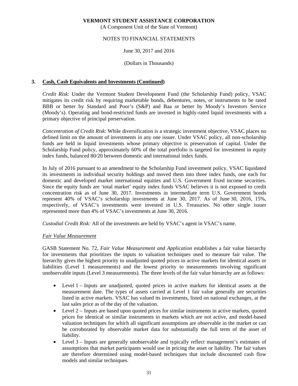(A Component Unit of the State of Vermont)

### NOTES TO FINANCIAL STATEMENTS

### June 30, 2017 and 2016

### (Dollars in Thousands)

### **3. Cash, Cash Equivalents and Investments (Continued)**

*Credit Risk*: Under the Vermont Student Development Fund (the Scholarship Fund) policy, VSAC mitigates its credit risk by requiring marketable bonds, debentures, notes, or instruments to be rated BBB or better by Standard and Poor's (S&P) and Baa or better by Moody's Investors Service (Moody's). Operating and bond-restricted funds are invested in highly-rated liquid investments with a primary objective of principal preservation.

*Concentration of Credit Risk*: While diversification is a strategic investment objective, VSAC places no defined limit on the amount of investments in any one issuer. Under VSAC policy, all non-scholarship funds are held in liquid investments whose primary objective is preservation of capital. Under the Scholarship Fund policy, approximately 60% of the total portfolio is targeted for investment in equity index funds, balanced 80/20 between domestic and international index funds.

In July of 2016 pursuant to an amendment to the Scholarship Fund investment policy, VSAC liquidated its investments in individual security holdings and moved them into three index funds, one each for domestic and developed market international equities and U.S. Government fixed income securities. Since the equity funds are 'total market' equity index funds VSAC believes it is not exposed to credit concentration risk as of June 30, 2017. Investments in intermediate term U.S. Government bonds represent 40% of VSAC's scholarship investments at June 30, 2017. As of June 30, 2016, 15%, respectively, of VSAC's investments were invested in U.S. Treasuries. No other single issuer represented more than 4% of VSAC's investments at June 30, 2016.

*Custodial Credit Risk:* All of the investments are held by VSAC's agent in VSAC's name.

### *Fair Value Measurement*

GASB Statement No. 72, *Fair Value Measurement and Application* establishes a fair value hierarchy for investments that prioritizes the inputs to valuation techniques used to measure fair value. The hierarchy gives the highest priority to unadjusted quoted prices in active markets for identical assets or liabilities (Level 1 measurements) and the lowest priority to measurements involving significant unobservable inputs (Level 3 measurements). The three levels of the fair value hierarchy are as follows:

- Level 1 Inputs are unadjusted, quoted prices in active markets for identical assets at the measurement date. The types of assets carried at Level 1 fair value generally are securities listed in active markets. VSAC has valued its investments, listed on national exchanges, at the last sales price as of the day of the valuation.
- Level 2 Inputs are based upon quoted prices for similar instruments in active markets, quoted prices for identical or similar instruments in markets which are not active, and model-based valuation techniques for which all significant assumptions are observable in the market or can be corroborated by observable market data for substantially the full term of the asset of liability.
- Level 3 Inputs are generally unobservable and typically reflect management's estimates of assumptions that market participants would use in pricing the asset or liability. The fair values are therefore determined using model-based techniques that include discounted cash flow models and similar techniques.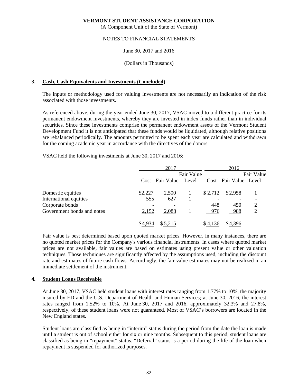(A Component Unit of the State of Vermont)

### NOTES TO FINANCIAL STATEMENTS

### June 30, 2017 and 2016

### (Dollars in Thousands)

### **3. Cash, Cash Equivalents and Investments (Concluded)**

The inputs or methodology used for valuing investments are not necessarily an indication of the risk associated with those investments.

As referenced above, during the year ended June 30, 2017, VSAC moved to a different practice for its permanent endowment investments, whereby they are invested in index funds rather than in individual securities. Since these investments comprise the permanent endowment assets of the Vermont Student Development Fund it is not anticipated that these funds would be liquidated, although relative positions are rebalanced periodically. The amounts permitted to be spent each year are calculated and withdrawn for the coming academic year in accordance with the directives of the donors.

VSAC held the following investments at June 30, 2017 and 2016:

|                            |         | 2017       |       |                          | 2016             |            |  |
|----------------------------|---------|------------|-------|--------------------------|------------------|------------|--|
|                            |         | Fair Value |       |                          |                  | Fair Value |  |
|                            | Cost    | Fair Value | Level | Cost                     | Fair Value Level |            |  |
| Domestic equities          | \$2,227 | 2,500      |       | \$2,712                  | \$2,958          |            |  |
| International equities     | 555     | 627        |       | $\overline{\phantom{0}}$ |                  |            |  |
| Corporate bonds            |         |            |       | 448                      | 450              | 2          |  |
| Government bonds and notes | 2,152   | 2,088      |       | 976                      | 988              | 2          |  |
|                            | \$4.934 | \$5,215    |       | \$4,136                  | \$4,396          |            |  |

Fair value is best determined based upon quoted market prices. However, in many instances, there are no quoted market prices for the Company's various financial instruments. In cases where quoted market prices are not available, fair values are based on estimates using present value or other valuation techniques. Those techniques are significantly affected by the assumptions used, including the discount rate and estimates of future cash flows. Accordingly, the fair value estimates may not be realized in an immediate settlement of the instrument.

#### **4. Student Loans Receivable**

At June 30, 2017, VSAC held student loans with interest rates ranging from 1.77% to 10%, the majority insured by ED and the U.S. Department of Health and Human Services; at June 30, 2016, the interest rates ranged from 1.52% to 10%. At June 30, 2017 and 2016, approximately 32.3% and 27.8%, respectively, of these student loans were not guaranteed. Most of VSAC's borrowers are located in the New England states.

Student loans are classified as being in "interim" status during the period from the date the loan is made until a student is out of school either for six or nine months. Subsequent to this period, student loans are classified as being in "repayment" status. "Deferral" status is a period during the life of the loan when repayment is suspended for authorized purposes.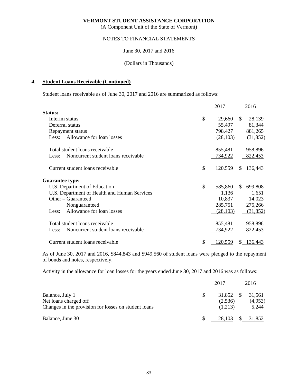(A Component Unit of the State of Vermont)

### NOTES TO FINANCIAL STATEMENTS

### June 30, 2017 and 2016

### (Dollars in Thousands)

### **4. Student Loans Receivable (Continued)**

Student loans receivable as of June 30, 2017 and 2016 are summarized as follows:

|                                              | 2017          | 2016           |
|----------------------------------------------|---------------|----------------|
| Status:                                      |               |                |
| Interim status                               | \$<br>29,660  | \$<br>28,139   |
| Deferral status                              | 55,497        | 81,344         |
| Repayment status                             | 798,427       | 881,265        |
| Allowance for loan losses<br>Less:           | (28, 103)     | (31, 852)      |
| Total student loans receivable               | 855,481       | 958,896        |
| Noncurrent student loans receivable<br>Less: | 734,922       | 822,453        |
| Current student loans receivable             | \$<br>120,559 | \$136,443      |
| <b>Guarantee type:</b>                       |               |                |
| U.S. Department of Education                 | \$<br>585,860 | \$.<br>699,808 |
| U.S. Department of Health and Human Services | 1,136         | 1,651          |
| Other – Guaranteed                           | 10,837        | 14,023         |
| Nonguaranteed                                | 285,751       | 275,266        |
| Allowance for loan losses<br>Less:           | (28, 103)     | (31, 852)      |
| Total student loans receivable               | 855,481       | 958,896        |
| Noncurrent student loans receivable<br>Less: | 734,922       | 822,453        |
| Current student loans receivable             | \$<br>120,559 | \$136,443      |

As of June 30, 2017 and 2016, \$844,843 and \$949,560 of student loans were pledged to the repayment of bonds and notes, respectively.

Activity in the allowance for loan losses for the years ended June 30, 2017 and 2016 was as follows:

|                                                                                                  |     | 2017                            | 2016                       |
|--------------------------------------------------------------------------------------------------|-----|---------------------------------|----------------------------|
| Balance, July 1<br>Net loans charged off<br>Changes in the provision for losses on student loans | \$. | 31,852 \$<br>(2,536)<br>(1.213) | 31,561<br>(4,953)<br>5,244 |
| Balance, June 30                                                                                 |     | 28,103                          | \$ 31,852                  |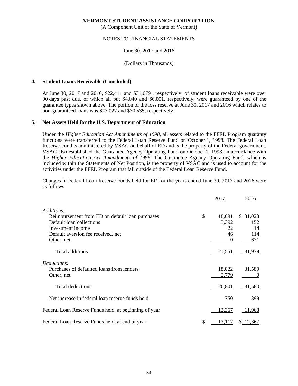(A Component Unit of the State of Vermont)

### NOTES TO FINANCIAL STATEMENTS

### June 30, 2017 and 2016

### (Dollars in Thousands)

### **4. Student Loans Receivable (Concluded)**

At June 30, 2017 and 2016, \$22,411 and \$31,679 , respectively, of student loans receivable were over 90 days past due, of which all but \$4,040 and \$6,051, respectively, were guaranteed by one of the guarantee types shown above. The portion of the loss reserve at June 30, 2017 and 2016 which relates to non-guaranteed loans was \$27,027 and \$30,535, respectively.

### **5. Net Assets Held for the U.S. Department of Education**

Under the *Higher Education Act Amendments of 1998*, all assets related to the FFEL Program guaranty functions were transferred to the Federal Loan Reserve Fund on October 1, 1998. The Federal Loan Reserve Fund is administered by VSAC on behalf of ED and is the property of the Federal government. VSAC also established the Guarantee Agency Operating Fund on October 1, 1998, in accordance with the *Higher Education Act Amendments of 1998*. The Guarantee Agency Operating Fund, which is included within the Statements of Net Position, is the property of VSAC and is used to account for the activities under the FFEL Program that fall outside of the Federal Loan Reserve Fund.

Changes in Federal Loan Reserve Funds held for ED for the years ended June 30, 2017 and 2016 were as follows:

|                                                       | 2017         | 2016     |
|-------------------------------------------------------|--------------|----------|
| Additions:                                            |              |          |
| Reimbursement from ED on default loan purchases       | \$<br>18,091 | \$31,028 |
| Default loan collections                              | 3,392        | 152      |
| Investment income                                     | 22           | 14       |
| Default aversion fee received, net                    | 46           | 114      |
| Other, net                                            | $\theta$     | 671      |
| Total additions                                       | 21,551       | 31,979   |
| Deductions:                                           |              |          |
| Purchases of defaulted loans from lenders             | 18,022       | 31,580   |
| Other, net                                            | 2,779        | $\theta$ |
| Total deductions                                      | 20,801       | 31,580   |
| Net increase in federal loan reserve funds held       | 750          | 399      |
| Federal Loan Reserve Funds held, at beginning of year | 12,367       | 11,968   |
| Federal Loan Reserve Funds held, at end of year       | \$<br>13,117 | 12,367   |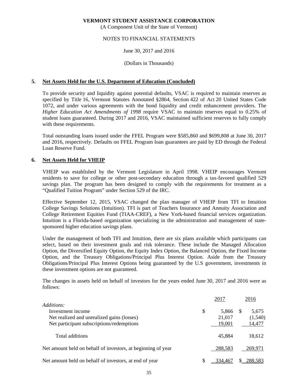(A Component Unit of the State of Vermont)

### NOTES TO FINANCIAL STATEMENTS

### June 30, 2017 and 2016

#### (Dollars in Thousands)

### **5. Net Assets Held for the U.S. Department of Education (Concluded)**

To provide security and liquidity against potential defaults, VSAC is required to maintain reserves as specified by Title 16, Vermont Statutes Annotated §2864, Section 422 of Act 20 United States Code 1072, and under various agreements with the bond liquidity and credit enhancement providers. The *Higher Education Act Amendments of 1998* require VSAC to maintain reserves equal to 0.25% of student loans guaranteed. During 2017 and 2016, VSAC maintained sufficient reserves to fully comply with these requirements.

Total outstanding loans issued under the FFEL Program were \$585,860 and \$699,808 at June 30, 2017 and 2016, respectively. Defaults on FFEL Program loan guarantees are paid by ED through the Federal Loan Reserve Fund.

### **6. Net Assets Held for VHEIP**

VHEIP was established by the Vermont Legislature in April 1998. VHEIP encourages Vermont residents to save for college or other post-secondary education through a tax-favored qualified 529 savings plan. The program has been designed to comply with the requirements for treatment as a "Qualified Tuition Program" under Section 529 of the IRC.

Effective September 12, 2015, VSAC changed the plan manager of VHEIP from TFI to Intuition College Savings Solutions (Intuition). TFI is part of Teachers Insurance and Annuity Association and College Retirement Equities Fund (TIAA-CREF), a New York-based financial services organization. Intuition is a Florida-based organization specializing in the administration and management of statesponsored higher education savings plans.

Under the management of both TFI and Intuition, there are six plans available which participants can select, based on their investment goals and risk tolerance. These include the Managed Allocation Option, the Diversified Equity Option, the Equity Index Option, the Balanced Option, the Fixed Income Option, and the Treasury Obligations/Principal Plus Interest Option. Aside from the Treasury Obligations/Principal Plus Interest Options being guaranteed by the U.S government, investments in these investment options are not guaranteed.

The changes in assets held on behalf of investors for the years ended June 30, 2017 and 2016 were as follows:

|                                                              |    | 2017    | 2016         |
|--------------------------------------------------------------|----|---------|--------------|
| Additions:                                                   |    |         |              |
| Investment income                                            | \$ | 5,866   | \$.<br>5,675 |
| Net realized and unrealized gains (losses)                   |    | 21,017  | (1,540)      |
| Net participant subscriptions/redemptions                    |    | 19,001  | 14,477       |
| Total additions                                              |    | 45,884  | 18,612       |
| Net amount held on behalf of investors, at beginning of year |    | 288,583 | 269,971      |
| Net amount held on behalf of investors, at end of year       | S  | 334.467 | 288.583      |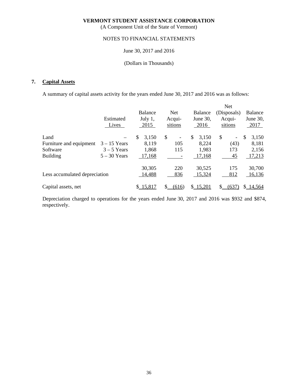(A Component Unit of the State of Vermont)

### NOTES TO FINANCIAL STATEMENTS

### June 30, 2017 and 2016

### (Dollars in Thousands)

# **7. Capital Assets**

A summary of capital assets activity for the years ended June 30, 2017 and 2016 was as follows:

|                               |                |             |                                |                | Net                  |                |
|-------------------------------|----------------|-------------|--------------------------------|----------------|----------------------|----------------|
|                               |                | Balance     | Net.                           | <b>Balance</b> | (Disposals)          | <b>Balance</b> |
|                               | Estimated      | July 1,     | Acqui-                         | June 30,       | Acqui-               | June 30,       |
|                               | Lives          | 2015        | sitions                        | 2016           | sitions              | 2017           |
| Land                          |                | \$<br>3,150 | \$<br>$\overline{\phantom{a}}$ | \$<br>3,150    | \$<br>$\blacksquare$ | \$<br>3,150    |
| Furniture and equipment       | $3 - 15$ Years | 8,119       | 105                            | 8,224          | (43)                 | 8,181          |
| Software                      | $3 - 5$ Years  | 1,868       | 115                            | 1,983          | 173                  | 2,156          |
| <b>Building</b>               | $5 - 30$ Years | 17,168      |                                | 17,168         | 45                   | 17,213         |
|                               |                | 30,305      | 220                            | 30,525         | 175                  | 30,700         |
| Less accumulated depreciation |                | 14,488      | 836                            | 15,324         | 812                  | 16,136         |
| Capital assets, net           |                | \$15,817    | (616)                          | \$15,201       | (637                 | \$14,564       |

Depreciation charged to operations for the years ended June 30, 2017 and 2016 was \$932 and \$874, respectively.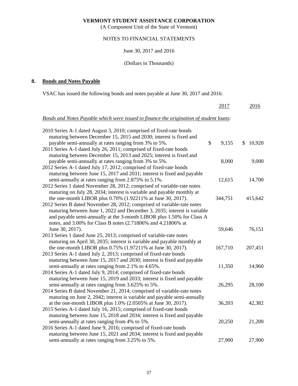(A Component Unit of the State of Vermont)

# NOTES TO FINANCIAL STATEMENTS

### June 30, 2017 and 2016

### (Dollars in Thousands)

# **8. Bonds and Notes Payable**

VSAC has issued the following bonds and notes payable at June 30, 2017 and 2016:

|                                                                                        | 2017        | 2016         |
|----------------------------------------------------------------------------------------|-------------|--------------|
| Bonds and Notes Payable which were issued to finance the origination of student loans: |             |              |
| 2010 Series A-1 dated August 3, 2010; comprised of fixed-rate bonds                    |             |              |
| maturing between December 15, 2015 and 2030; interest is fixed and                     |             |              |
| payable semi-annually at rates ranging from 3% to 5%.                                  | \$<br>9,155 | 10,920<br>\$ |
| 2011 Series A-1 dated July 26, 2011; comprised of fixed-rate bonds                     |             |              |
| maturing between December 15, 2013 and 2025; interest is fixed and                     |             |              |
| payable semi-annually at rates ranging from 3% to 5%.                                  | 8,000       | 9,000        |
| 2012 Series A-1 dated July 17, 2012; comprised of fixed-rate bonds                     |             |              |
| maturing between June 15, 2017 and 2031; interest is fixed and payable                 |             |              |
| semi-annually at rates ranging from 2.875% to 5.1%.                                    | 12,615      | 14,700       |
| 2012 Series 1 dated November 28, 2012; comprised of variable-rate notes                |             |              |
| maturing on July 28, 2034; interest is variable and payable monthly at                 |             |              |
| the one-month LIBOR plus 0.70% (1.92211% at June 30, 2017).                            | 344,751     | 415,642      |
| 2012 Series B dated November 28, 2012; comprised of variable-rate notes                |             |              |
| maturing between June 1, 2022 and December 3, 2035; interest is variable               |             |              |
| and payable semi-annually at the 3-month LIBOR plus 1.50% for Class A                  |             |              |
| notes, and 3.00% for Class B notes (2.71806% and 4.21806% at                           |             |              |
| June 30, 2017).                                                                        | 59,646      | 76,151       |
| 2013 Series 1 dated June 25, 2013; comprised of variable-rate notes                    |             |              |
| maturing on April 30, 2035; interest is variable and payable monthly at                |             |              |
| the one-month LIBOR plus 0.75% (1.97211% at June 30, 2017).                            | 167,710     | 207,451      |
| 2013 Series A-1 dated July 2, 2013; comprised of fixed-rate bonds                      |             |              |
| maturing between June 15, 2017 and 2030; interest is fixed and payable                 |             |              |
| semi-annually at rates ranging from 2.1% to 4.65%.                                     | 11,350      | 14,960       |
| 2014 Series A-1 dated July 9, 2014; comprised of fixed-rate bonds                      |             |              |
| maturing between June 15, 2019 and 2033; interest is fixed and payable                 |             |              |
| semi-annually at rates ranging from 3.625% to 5%.                                      | 26,295      | 28,100       |
| 2014 Series B dated November 21, 2014; comprised of variable-rate notes                |             |              |
| maturing on June 2, 2042; interest is variable and payable semi-annually               |             |              |
| at the one-month LIBOR plus 1.0% (2.0505% at June 30, 2017).                           | 36,203      | 42,382       |
| 2015 Series A-1 dated July 16, 2015; comprised of fixed-rate bonds                     |             |              |
| maturing between June 15, 2018 and 2034; interest is fixed and payable                 |             |              |
| semi-annually at rates ranging from 4% to 5%.                                          | 20,250      | 21,200       |
| 2016 Series A-1 dated June 9, 2016; comprised of fixed-rate bonds                      |             |              |
| maturing between June 15, 2021 and 2034; interest is fixed and payable                 |             |              |
| semi-annually at rates ranging from 3.25% to 5%.                                       | 27,900      | 27,900       |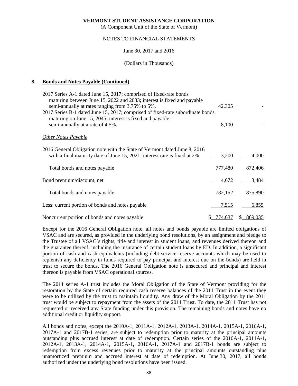(A Component Unit of the State of Vermont)

### NOTES TO FINANCIAL STATEMENTS

### June 30, 2017 and 2016

(Dollars in Thousands)

### **8. Bonds and Notes Payable (Continued)**

| 2017 Series A-1 dated June 15, 2017; comprised of fixed-rate bonds                                                                         |               |           |
|--------------------------------------------------------------------------------------------------------------------------------------------|---------------|-----------|
| maturing between June 15, 2022 and 2033; interest is fixed and payable<br>semi-annually at rates ranging from 3.75% to 5%.                 | 42,305        |           |
| 2017 Series B-1 dated June 15, 2017; comprised of fixed-rate subordinate bonds<br>maturing on June 15, 2045; interest is fixed and payable |               |           |
| semi-annually at a rate of 4.5%.                                                                                                           | 8,100         |           |
| <b>Other Notes Payable</b>                                                                                                                 |               |           |
| 2016 General Obligation note with the State of Vermont dated June 8, 2016                                                                  |               |           |
| with a final maturity date of June 15, 2021; interest rate is fixed at 2%.                                                                 | 3,200         | 4,000     |
| Total bonds and notes payable                                                                                                              | 777,480       | 872,406   |
| Bond premium/discount, net                                                                                                                 | 4,672         | 3,484     |
| Total bonds and notes payable                                                                                                              | 782,152       | 875,890   |
| Less: current portion of bonds and notes payable                                                                                           | 7,515         | 6,855     |
| Noncurrent portion of bonds and notes payable                                                                                              | 774,637<br>S. | \$869,035 |

Except for the 2016 General Obligation note, all notes and bonds payable are limited obligations of VSAC and are secured, as provided in the underlying bond resolutions, by an assignment and pledge to the Trustee of all VSAC's rights, title and interest in student loans, and revenues derived thereon and the guarantee thereof, including the insurance of certain student loans by ED. In addition, a significant portion of cash and cash equivalents (including debt service reserve accounts which may be used to replenish any deficiency in funds required to pay principal and interest due on the bonds) are held in trust to secure the bonds. The 2016 General Obligation note is unsecured and principal and interest thereon is payable from VSAC operational sources.

The 2011 series A-1 trust includes the Moral Obligation of the State of Vermont providing for the restoration by the State of certain required cash reserve balances of the 2011 Trust in the event they were to be utilized by the trust to maintain liquidity. Any draw of the Moral Obligation by the 2011 trust would be subject to repayment from the assets of the 2011 Trust. To date, the 2011 Trust has not requested or received any State funding under this provision. The remaining bonds and notes have no additional credit or liquidity support.

All bonds and notes, except the 2010A-1, 2011A-1, 2012A-1, 2013A-1, 2014A-1, 2015A-1, 2016A-1, 2017A-1 and 2017B-1 series, are subject to redemption prior to maturity at the principal amounts outstanding plus accrued interest at date of redemption. Certain series of the 2010A-1, 2011A-1, 2012A-1, 2013A-1, 2014A-1, 2015A-1, 2016A-1, 2017A-1 and 2017B-1 bonds are subject to redemption from excess revenues prior to maturity at the principal amounts outstanding plus unamortized premium and accrued interest at date of redemption. At June 30, 2017, all bonds authorized under the underlying bond resolutions have been issued.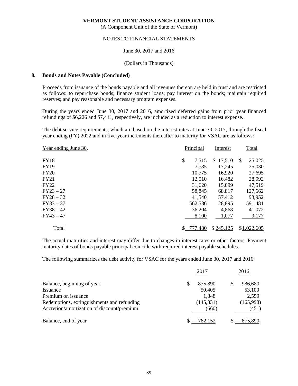(A Component Unit of the State of Vermont)

### NOTES TO FINANCIAL STATEMENTS

### June 30, 2017 and 2016

#### (Dollars in Thousands)

#### **8. Bonds and Notes Payable (Concluded)**

Proceeds from issuance of the bonds payable and all revenues thereon are held in trust and are restricted as follows: to repurchase bonds; finance student loans; pay interest on the bonds; maintain required reserves; and pay reasonable and necessary program expenses.

During the years ended June 30, 2017 and 2016, amortized deferred gains from prior year financed refundings of \$6,226 and \$7,411, respectively, are included as a reduction to interest expense.

The debt service requirements, which are based on the interest rates at June 30, 2017, through the fiscal year ending (FY) 2022 and in five-year increments thereafter to maturity for VSAC are as follows:

| Year ending June 30, | Principal   | Interest     | Total        |
|----------------------|-------------|--------------|--------------|
| <b>FY18</b>          | \$<br>7,515 | \$<br>17,510 | 25,025<br>\$ |
| <b>FY19</b>          | 7,785       | 17,245       | 25,030       |
| <b>FY20</b>          | 10,775      | 16,920       | 27,695       |
| FY21                 | 12,510      | 16,482       | 28,992       |
| <b>FY22</b>          | 31,620      | 15,899       | 47,519       |
| $FY23 - 27$          | 58,845      | 68,817       | 127,662      |
| $FY28 - 32$          | 41,540      | 57,412       | 98,952       |
| $FY33 - 37$          | 562,586     | 28,895       | 591,481      |
| $FY38 - 42$          | 36,204      | 4,868        | 41,072       |
| $FY43 - 47$          | 8,100       | 1,077        | 9,177        |
| Total                | \$777,480   | \$245,125    | \$1,022,605  |

The actual maturities and interest may differ due to changes in interest rates or other factors. Payment maturity dates of bonds payable principal coincide with required interest payable schedules.

The following summarizes the debt activity for VSAC for the years ended June 30, 2017 and 2016:

|                                            | 2017         | 2016           |
|--------------------------------------------|--------------|----------------|
| Balance, beginning of year                 | 875,890<br>S | 986,680        |
| Issuance                                   | 50,405       | 53,100         |
| Premium on issuance                        | 1,848        | 2,559          |
| Redemptions, extinguishments and refunding | (145, 331)   | (165,998)      |
| Accretion/amortization of discount/premium |              | (451)<br>(660) |
| Balance, end of year                       | 782,152      | 875,890        |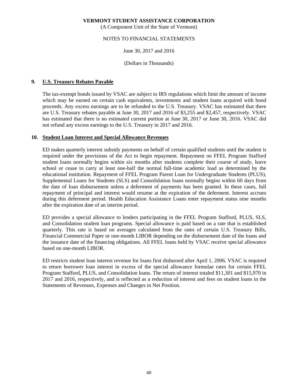(A Component Unit of the State of Vermont)

### NOTES TO FINANCIAL STATEMENTS

### June 30, 2017 and 2016

### (Dollars in Thousands)

### **9. U.S. Treasury Rebates Payable**

The tax-exempt bonds issued by VSAC are subject to IRS regulations which limit the amount of income which may be earned on certain cash equivalents, investments and student loans acquired with bond proceeds. Any excess earnings are to be refunded to the U.S. Treasury. VSAC has estimated that there are U.S. Treasury rebates payable at June 30, 2017 and 2016 of \$3,255 and \$2,457, respectively. VSAC has estimated that there is no estimated current portion at June 30, 2017 or June 30, 2016. VSAC did not refund any excess earnings to the U.S. Treasury in 2017 and 2016.

### **10. Student Loan Interest and Special Allowance Revenues**

ED makes quarterly interest subsidy payments on behalf of certain qualified students until the student is required under the provisions of the Act to begin repayment. Repayment on FFEL Program Stafford student loans normally begins within six months after students complete their course of study, leave school or cease to carry at least one-half the normal full-time academic load as determined by the educational institution. Repayment of FFEL Program Parent Loan for Undergraduate Students (PLUS), Supplemental Loans for Students (SLS) and Consolidation loans normally begins within 60 days from the date of loan disbursement unless a deferment of payments has been granted. In these cases, full repayment of principal and interest would resume at the expiration of the deferment. Interest accrues during this deferment period. Health Education Assistance Loans enter repayment status nine months after the expiration date of an interim period.

ED provides a special allowance to lenders participating in the FFEL Program Stafford, PLUS, SLS, and Consolidation student loan programs. Special allowance is paid based on a rate that is established quarterly. This rate is based on averages calculated from the rates of certain U.S. Treasury Bills, Financial Commercial Paper or one-month LIBOR depending on the disbursement date of the loans and the issuance date of the financing obligations. All FFEL loans held by VSAC receive special allowance based on one-month LIBOR.

ED restricts student loan interest revenue for loans first disbursed after April 1, 2006. VSAC is required to return borrower loan interest in excess of the special allowance formulae rates for certain FFEL Program Stafford, PLUS, and Consolidation loans. The return of interest totaled \$11,301 and \$15,970 in 2017 and 2016, respectively, and is reflected as a reduction of interest and fees on student loans in the Statements of Revenues, Expenses and Changes in Net Position.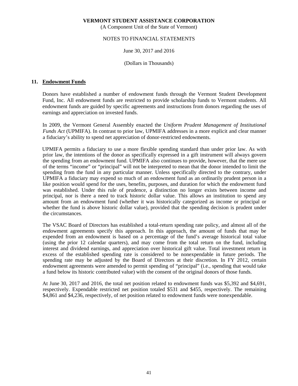(A Component Unit of the State of Vermont)

### NOTES TO FINANCIAL STATEMENTS

### June 30, 2017 and 2016

### (Dollars in Thousands)

### **11. Endowment Funds**

Donors have established a number of endowment funds through the Vermont Student Development Fund, Inc. All endowment funds are restricted to provide scholarship funds to Vermont students. All endowment funds are guided by specific agreements and instructions from donors regarding the uses of earnings and appreciation on invested funds.

In 2009, the Vermont General Assembly enacted the *Uniform Prudent Management of Institutional Funds Act* (UPMIFA). In contrast to prior law, UPMIFA addresses in a more explicit and clear manner a fiduciary's ability to spend net appreciation of donor-restricted endowments.

UPMIFA permits a fiduciary to use a more flexible spending standard than under prior law. As with prior law, the intentions of the donor as specifically expressed in a gift instrument will always govern the spending from an endowment fund. UPMIFA also continues to provide, however, that the mere use of the terms "income" or "principal" will not be interpreted to mean that the donor intended to limit the spending from the fund in any particular manner. Unless specifically directed to the contrary, under UPMIFA a fiduciary may expend so much of an endowment fund as an ordinarily prudent person in a like position would spend for the uses, benefits, purposes, and duration for which the endowment fund was established. Under this rule of prudence, a distinction no longer exists between income and principal, nor is there a need to track historic dollar value. This allows an institution to spend any amount from an endowment fund (whether it was historically categorized as income or principal or whether the fund is above historic dollar value), provided that the spending decision is prudent under the circumstances.

The VSAC Board of Directors has established a total-return spending rate policy, and almost all of the endowment agreements specify this approach. In this approach, the amount of funds that may be expended from an endowment is based on a percentage of the fund's average historical total value (using the prior 12 calendar quarters), and may come from the total return on the fund, including interest and dividend earnings, and appreciation over historical gift value. Total investment return in excess of the established spending rate is considered to be nonexpendable in future periods. The spending rate may be adjusted by the Board of Directors at their discretion. In FY 2012, certain endowment agreements were amended to permit spending of "principal" (i.e., spending that would take a fund below its historic contributed value) with the consent of the original donors of those funds.

At June 30, 2017 and 2016, the total net position related to endowment funds was \$5,392 and \$4,691, respectively. Expendable restricted net position totaled \$531 and \$455, respectively. The remaining \$4,861 and \$4,236, respectively, of net position related to endowment funds were nonexpendable.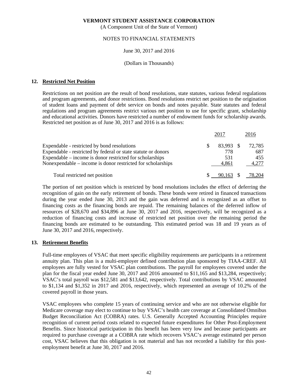(A Component Unit of the State of Vermont)

### NOTES TO FINANCIAL STATEMENTS

### June 30, 2017 and 2016

#### (Dollars in Thousands)

### **12. Restricted Net Position**

Restrictions on net position are the result of bond resolutions, state statutes, various federal regulations and program agreements, and donor restrictions. Bond resolutions restrict net position to the origination of student loans and payment of debt service on bonds and notes payable. State statutes and federal regulations and program agreements restrict various net position to use for specific grant, scholarship and educational activities. Donors have restricted a number of endowment funds for scholarship awards. Restricted net position as of June 30, 2017 and 2016 is as follows:

|                                                               |    | 2017      | 2016                         |
|---------------------------------------------------------------|----|-----------|------------------------------|
| Expendable - restricted by bond resolutions                   | S. | 83,993 \$ | 72,785                       |
| Expendable - restricted by federal or state statute or donors |    | 778       | 687                          |
| Expendable – income is donor restricted for scholarships      |    | 531       | 455                          |
| Nonexpendable – income is donor restricted for scholarships   |    | 4.861     | 4.277                        |
| Total restricted net position                                 |    |           | $\frac{$}{90.163}$ \$ 78,204 |

The portion of net position which is restricted by bond resolutions includes the effect of deferring the recognition of gain on the early retirement of bonds. These bonds were retired in financed transactions during the year ended June 30, 2013 and the gain was deferred and is recognized as an offset to financing costs as the financing bonds are repaid. The remaining balances of the deferred inflow of resources of \$28,670 and \$34,896 at June 30, 2017 and 2016, respectively, will be recognized as a reduction of financing costs and increase of restricted net position over the remaining period the financing bonds are estimated to be outstanding. This estimated period was 18 and 19 years as of June 30, 2017 and 2016, respectively.

### **13. Retirement Benefits**

Full-time employees of VSAC that meet specific eligibility requirements are participants in a retirement annuity plan. This plan is a multi-employer defined contribution plan sponsored by TIAA-CREF. All employees are fully vested for VSAC plan contributions. The payroll for employees covered under the plan for the fiscal year ended June 30, 2017 and 2016 amounted to \$11,165 and \$13,284, respectively; VSAC's total payroll was \$12,581 and \$13,642, respectively. Total contributions by VSAC amounted to \$1,134 and \$1,352 in 2017 and 2016, respectively, which represented an average of 10.2% of the covered payroll in those years.

VSAC employees who complete 15 years of continuing service and who are not otherwise eligible for Medicare coverage may elect to continue to buy VSAC's health care coverage at Consolidated Omnibus Budget Reconciliation Act (COBRA) rates. U.S. Generally Accepted Accounting Principles require recognition of current period costs related to expected future expenditures for Other Post-Employment Benefits. Since historical participation in this benefit has been very low and because participants are required to purchase coverage at a COBRA rate which recovers VSAC's average estimated per person cost, VSAC believes that this obligation is not material and has not recorded a liability for this postemployment benefit at June 30, 2017 and 2016.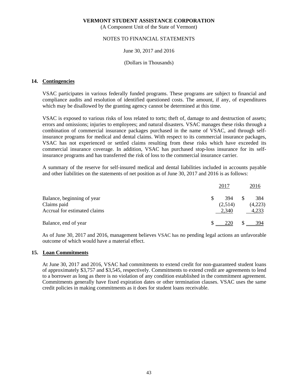(A Component Unit of the State of Vermont)

### NOTES TO FINANCIAL STATEMENTS

### June 30, 2017 and 2016

#### (Dollars in Thousands)

### **14. Contingencies**

VSAC participates in various federally funded programs. These programs are subject to financial and compliance audits and resolution of identified questioned costs. The amount, if any, of expenditures which may be disallowed by the granting agency cannot be determined at this time.

VSAC is exposed to various risks of loss related to torts; theft of, damage to and destruction of assets; errors and omissions; injuries to employees; and natural disasters. VSAC manages these risks through a combination of commercial insurance packages purchased in the name of VSAC, and through selfinsurance programs for medical and dental claims. With respect to its commercial insurance packages, VSAC has not experienced or settled claims resulting from these risks which have exceeded its commercial insurance coverage. In addition, VSAC has purchased stop-loss insurance for its selfinsurance programs and has transferred the risk of loss to the commercial insurance carrier.

A summary of the reserve for self-insured medical and dental liabilities included in accounts payable and other liabilities on the statements of net position as of June 30, 2017 and 2016 is as follows:

|                                           | 2017           | 2016           |
|-------------------------------------------|----------------|----------------|
| Balance, beginning of year<br>Claims paid | 394<br>(2,514) | 384<br>(4,223) |
| Accrual for estimated claims              | 2,340          | 4,233          |
| Balance, end of year                      | 220            | 394            |

As of June 30, 2017 and 2016, management believes VSAC has no pending legal actions an unfavorable outcome of which would have a material effect.

### **15. Loan Commitments**

At June 30, 2017 and 2016, VSAC had commitments to extend credit for non-guaranteed student loans of approximately \$3,757 and \$3,545, respectively. Commitments to extend credit are agreements to lend to a borrower as long as there is no violation of any condition established in the commitment agreement. Commitments generally have fixed expiration dates or other termination clauses. VSAC uses the same credit policies in making commitments as it does for student loans receivable.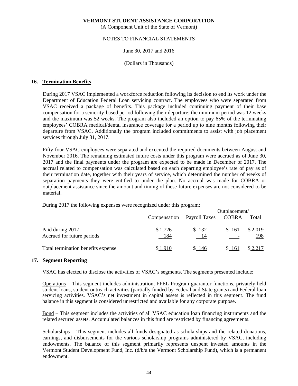(A Component Unit of the State of Vermont)

### NOTES TO FINANCIAL STATEMENTS

### June 30, 2017 and 2016

#### (Dollars in Thousands)

### **16. Termination Benefits**

 During 2017 VSAC implemented a workforce reduction following its decision to end its work under the Department of Education Federal Loan servicing contract. The employees who were separated from VSAC received a package of benefits. This package included continuing payment of their base compensation for a seniority-based period following their departure; the minimum period was 12 weeks and the maximum was 52 weeks. The program also included an option to pay 65% of the terminating employees' COBRA medical/dental insurance coverage for a period up to nine months following their departure from VSAC. Additionally the program included commitments to assist with job placement services through July 31, 2017.

Fifty-four VSAC employees were separated and executed the required documents between August and November 2016. The remaining estimated future costs under this program were accrued as of June 30, 2017 and the final payments under the program are expected to be made in December of 2017. The accrual related to compensation was calculated based on each departing employee's rate of pay as of their termination date, together with their years of service, which determined the number of weeks of separation payments they were entitled to under the plan. No accrual was made for COBRA or outplacement assistance since the amount and timing of these future expenses are not considered to be material.

During 2017 the following expenses were recognized under this program:

|                                                |                |               | Outplacement/                     |                |  |  |  |  |  |
|------------------------------------------------|----------------|---------------|-----------------------------------|----------------|--|--|--|--|--|
|                                                | Compensation   | Payroll Taxes | <b>COBRA</b>                      | Total          |  |  |  |  |  |
| Paid during 2017<br>Accrued for future periods | \$1,726<br>184 | \$132<br>- 14 | \$161<br>$\overline{\phantom{a}}$ | \$2,019<br>198 |  |  |  |  |  |
| Total termination benefits expense             | ∣910           | \$146         | \$161                             |                |  |  |  |  |  |

#### **17. Segment Reporting**

VSAC has elected to disclose the activities of VSAC's segments. The segments presented include:

Operations – This segment includes administration, FFEL Program guarantor functions, privately-held student loans, student outreach activities (partially funded by Federal and State grants) and Federal loan servicing activities. VSAC's net investment in capital assets is reflected in this segment. The fund balance in this segment is considered unrestricted and available for any corporate purpose.

Bond – This segment includes the activities of all VSAC education loan financing instruments and the related secured assets. Accumulated balances in this fund are restricted by financing agreements.

Scholarships – This segment includes all funds designated as scholarships and the related donations, earnings, and disbursements for the various scholarship programs administered by VSAC, including endowments. The balance of this segment primarily represents unspent invested amounts in the Vermont Student Development Fund, Inc. (d/b/a the Vermont Scholarship Fund), which is a permanent endowment.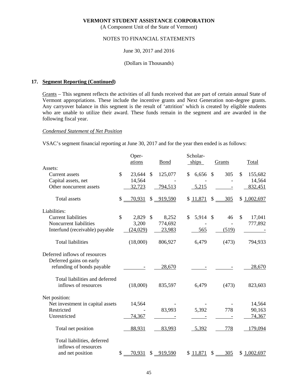(A Component Unit of the State of Vermont)

### NOTES TO FINANCIAL STATEMENTS

## June 30, 2017 and 2016

### (Dollars in Thousands)

### **17. Segment Reporting (Continued)**

Grants – This segment reflects the activities of all funds received that are part of certain annual State of Vermont appropriations. These include the incentive grants and Next Generation non-degree grants. Any carryover balance in this segment is the result of 'attrition' which is created by eligible students who are unable to utilize their award. These funds remain in the segment and are awarded in the following fiscal year.

### *Condensed Statement of Net Position*

VSAC's segment financial reporting at June 30, 2017 and for the year then ended is as follows:

|                                  |               | Oper-     |               |            | Scholar-    |               |        |               |             |
|----------------------------------|---------------|-----------|---------------|------------|-------------|---------------|--------|---------------|-------------|
|                                  |               | ations    |               | Bond       | ships       |               | Grants |               | Total       |
| Assets:                          |               |           |               |            |             |               |        |               |             |
| Current assets                   | $\mathcal{S}$ | 23,644    | $\mathcal{S}$ | 125,077    | \$<br>6,656 | $\mathbb{S}$  | 305    | $\mathcal{S}$ | 155,682     |
| Capital assets, net              |               | 14,564    |               |            |             |               |        |               | 14,564      |
| Other noncurrent assets          |               | 32,723    |               | 794,513    | 5,215       |               |        |               | 832,451     |
| <b>Total assets</b>              | \$            | 70,931    |               | \$ 919,590 | \$11,871    | \$            | 305    |               | \$1,002,697 |
| Liabilities:                     |               |           |               |            |             |               |        |               |             |
| <b>Current liabilities</b>       | $\mathcal{S}$ | 2,829     | $\mathcal{S}$ | 8,252      | \$<br>5,914 | $\mathcal{S}$ | 46     | \$            | 17,041      |
| Noncurrent liabilities           |               | 3,200     |               | 774,692    |             |               |        |               | 777,892     |
| Interfund (receivable) payable   |               | (24, 029) |               | 23,983     | 565         |               | (519)  |               |             |
| <b>Total liabilities</b>         |               | (18,000)  |               | 806,927    | 6,479       |               | (473)  |               | 794,933     |
| Deferred inflows of resources    |               |           |               |            |             |               |        |               |             |
| Deferred gains on early          |               |           |               |            |             |               |        |               |             |
| refunding of bonds payable       |               |           |               | 28,670     |             |               |        |               | 28,670      |
| Total liabilities and deferred   |               |           |               |            |             |               |        |               |             |
| inflows of resources             |               | (18,000)  |               | 835,597    | 6,479       |               | (473)  |               | 823,603     |
| Net position:                    |               |           |               |            |             |               |        |               |             |
| Net investment in capital assets |               | 14,564    |               |            |             |               |        |               | 14,564      |
| Restricted                       |               |           |               | 83,993     | 5,392       |               | 778    |               | 90,163      |
| Unrestricted                     |               | 74,367    |               |            |             |               |        |               | 74,367      |
| Total net position               |               | 88,931    |               | 83,993     | 5,392       |               | 778    |               | 179,094     |
| Total liabilities, deferred      |               |           |               |            |             |               |        |               |             |
| inflows of resources             |               |           |               |            |             |               |        |               |             |
| and net position                 | \$            | 70,931    |               | \$919,590  | \$11,871    | \$            | 305    |               | \$1,002,697 |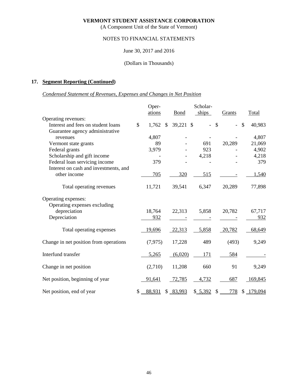(A Component Unit of the State of Vermont)

# NOTES TO FINANCIAL STATEMENTS

### June 30, 2017 and 2016

### (Dollars in Thousands)

# **17. Segment Reporting (Continued)**

# *Condensed Statement of Revenues, Expenses and Changes in Net Position*

|                                        | Oper-        |               | Scholar-    |          |    |        |    |           |
|----------------------------------------|--------------|---------------|-------------|----------|----|--------|----|-----------|
|                                        | ations       |               | <b>Bond</b> | ships    |    | Grants |    | Total     |
| Operating revenues:                    |              |               |             |          |    |        |    |           |
| Interest and fees on student loans     | \$<br>1,762  | $\mathcal{S}$ | 39,221 \$   |          | \$ |        | \$ | 40,983    |
| Guarantee agency administrative        |              |               |             |          |    |        |    |           |
| revenues                               | 4,807        |               |             |          |    |        |    | 4,807     |
| Vermont state grants                   | 89           |               |             | 691      |    | 20,289 |    | 21,069    |
| Federal grants                         | 3,979        |               |             | 923      |    |        |    | 4,902     |
| Scholarship and gift income            |              |               |             | 4,218    |    |        |    | 4,218     |
| Federal loan servicing income          | 379          |               |             |          |    |        |    | 379       |
| Interest on cash and investments, and  |              |               |             |          |    |        |    |           |
| other income                           | 705          |               | 320         | 515      |    |        |    | 1,540     |
| Total operating revenues               | 11,721       |               | 39,541      | 6,347    |    | 20,289 |    | 77,898    |
| Operating expenses:                    |              |               |             |          |    |        |    |           |
| Operating expenses excluding           |              |               |             |          |    |        |    |           |
| depreciation                           | 18,764       |               | 22,313      | 5,858    |    | 20,782 |    | 67,717    |
| Depreciation                           | 932          |               |             |          |    |        |    | 932       |
| Total operating expenses               | 19,696       |               | 22,313      | 5,858    |    | 20,782 |    | 68,649    |
| Change in net position from operations | (7, 975)     |               | 17,228      | 489      |    | (493)  |    | 9,249     |
| Interfund transfer                     | 5,265        |               | (6,020)     | 171      |    | 584    |    |           |
| Change in net position                 | (2,710)      |               | 11,208      | 660      |    | 91     |    | 9,249     |
| Net position, beginning of year        | 91,641       |               | 72,785      | 4,732    |    | 687    |    | 169,845   |
| Net position, end of year              | \$<br>88,931 |               | \$83,993    | \$ 5,392 | \$ | 778    |    | \$179,094 |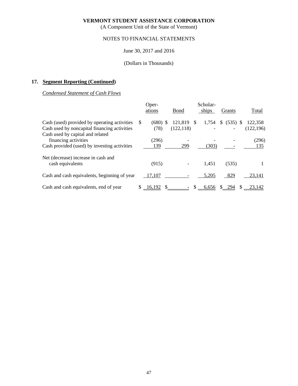(A Component Unit of the State of Vermont)

# NOTES TO FINANCIAL STATEMENTS

### June 30, 2017 and 2016

### (Dollars in Thousands)

# **17. Segment Reporting (Continued)**

### *Condensed Statement of Cash Flows*

|                                                                                              |              | Oper-<br>ations    | Bond                  |     | Scholar-<br>ships |    | Grants     |    | Total                 |
|----------------------------------------------------------------------------------------------|--------------|--------------------|-----------------------|-----|-------------------|----|------------|----|-----------------------|
| Cash (used) provided by operating activities<br>Cash used by noncapital financing activities | <sup>S</sup> | $(680)$ \$<br>(78) | 121,819<br>(122, 118) | \$. | 1,754             | S. | $(535)$ \$ |    | 122,358<br>(122, 196) |
| Cash used by capital and related<br>financing activities                                     |              | (296)              |                       |     |                   |    |            |    | (296)                 |
| Cash provided (used) by investing activities                                                 |              | 139                | 299                   |     | (303)             |    |            |    | 135                   |
| Net (decrease) increase in cash and<br>cash equivalents                                      |              | (915)              |                       |     | 1,451             |    | (535)      |    |                       |
| Cash and cash equivalents, beginning of year                                                 |              | 17,107             |                       |     | 5,205             |    | 829        |    | 23,141                |
| Cash and cash equivalents, end of year                                                       |              | 16,192             | $\mathbb{S}$          |     | 6,656             |    | \$ 294     | S. | 23,142                |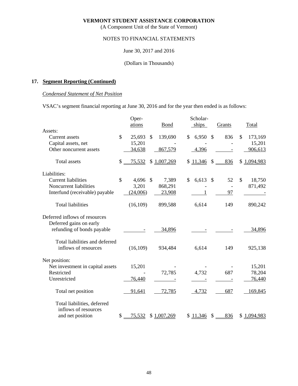(A Component Unit of the State of Vermont)

## NOTES TO FINANCIAL STATEMENTS

### June 30, 2017 and 2016

### (Dollars in Thousands)

# **17. Segment Reporting (Continued)**

### *Condensed Statement of Net Position*

VSAC's segment financial reporting at June 30, 2016 and for the year then ended is as follows:

|                                  |               | Oper-     |                 | Scholar-    |              |        |               |
|----------------------------------|---------------|-----------|-----------------|-------------|--------------|--------|---------------|
|                                  |               | ations    | <b>Bond</b>     | ships       |              | Grants | Total         |
| Assets:                          |               |           |                 |             |              |        |               |
| Current assets                   | $\mathcal{S}$ | 25,693    | \$<br>139,690   | \$<br>6,950 | $\mathbb{S}$ | 836    | \$<br>173,169 |
| Capital assets, net              |               | 15,201    |                 |             |              |        | 15,201        |
| Other noncurrent assets          |               | 34,638    | 867,579         | 4,396       |              |        | 906,613       |
| Total assets                     | \$            | 75,532    | \$<br>1,007,269 | \$11,346    | \$           | 836    | \$1,094,983   |
| Liabilities:                     |               |           |                 |             |              |        |               |
| <b>Current liabilities</b>       | \$            | 4,696 \$  | 7,389           | \$<br>6,613 | \$           | 52     | \$<br>18,750  |
| Noncurrent liabilities           |               | 3,201     | 868,291         |             |              |        | 871,492       |
| Interfund (receivable) payable   |               | (24,006)  | 23,908          |             |              | 97     |               |
| <b>Total liabilities</b>         |               | (16, 109) | 899,588         | 6,614       |              | 149    | 890,242       |
| Deferred inflows of resources    |               |           |                 |             |              |        |               |
| Deferred gains on early          |               |           |                 |             |              |        |               |
| refunding of bonds payable       |               |           | 34,896          |             |              |        | 34,896        |
| Total liabilities and deferred   |               |           |                 |             |              |        |               |
| inflows of resources             |               | (16, 109) | 934,484         | 6,614       |              | 149    | 925,138       |
| Net position:                    |               |           |                 |             |              |        |               |
| Net investment in capital assets |               | 15,201    |                 |             |              |        | 15,201        |
| Restricted                       |               |           | 72,785          | 4,732       |              | 687    | 78,204        |
| Unrestricted                     |               | 76,440    |                 |             |              |        | 76,440        |
| Total net position               |               | 91,641    | 72,785          | 4,732       |              | 687    | 169,845       |
| Total liabilities, deferred      |               |           |                 |             |              |        |               |
| inflows of resources             |               |           |                 |             |              |        |               |
| and net position                 | \$            | 75,532    | \$1,007,269     | \$11,346    | \$           | 836    | \$1,094,983   |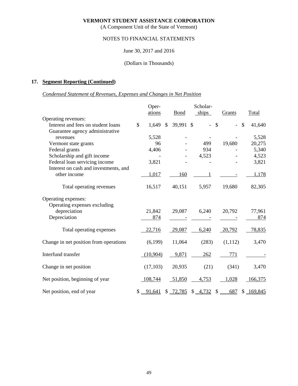(A Component Unit of the State of Vermont)

# NOTES TO FINANCIAL STATEMENTS

### June 30, 2017 and 2016

### (Dollars in Thousands)

# **17. Segment Reporting (Continued)**

# *Condensed Statement of Revenues, Expenses and Changes in Net Position*

|                                                                                     |              | Oper-         | Scholar-      |             |                      |               |         |               |
|-------------------------------------------------------------------------------------|--------------|---------------|---------------|-------------|----------------------|---------------|---------|---------------|
|                                                                                     |              | ations        |               | <b>Bond</b> | ships                |               | Grants  | Total         |
| Operating revenues:                                                                 |              |               |               |             |                      |               |         |               |
| Interest and fees on student loans                                                  | $\mathbb{S}$ | 1,649         | $\mathcal{S}$ | 39,991 \$   |                      | $\mathcal{S}$ |         | \$<br>41,640  |
| Guarantee agency administrative                                                     |              |               |               |             |                      |               |         |               |
| revenues                                                                            |              | 5,528         |               |             |                      |               |         | 5,528         |
| Vermont state grants                                                                |              | 96            |               |             | 499                  |               | 19,680  | 20,275        |
| Federal grants                                                                      |              | 4,406         |               |             | 934                  |               |         | 5,340         |
| Scholarship and gift income                                                         |              |               |               |             | 4,523                |               |         | 4,523         |
| Federal loan servicing income                                                       |              | 3,821         |               |             |                      |               |         | 3,821         |
| Interest on cash and investments, and                                               |              |               |               |             |                      |               |         |               |
| other income                                                                        |              | 1,017         |               | 160         |                      |               |         | 1,178         |
| Total operating revenues                                                            |              | 16,517        |               | 40,151      | 5,957                |               | 19,680  | 82,305        |
| Operating expenses:<br>Operating expenses excluding<br>depreciation<br>Depreciation |              | 21,842<br>874 |               | 29,087      | 6,240                |               | 20,792  | 77,961<br>874 |
|                                                                                     |              |               |               |             |                      |               |         |               |
| Total operating expenses                                                            |              | 22,716        |               | 29,087      | 6,240                |               | 20,792  | 78,835        |
| Change in net position from operations                                              |              | (6,199)       |               | 11,064      | (283)                |               | (1,112) | 3,470         |
| Interfund transfer                                                                  |              | (10,904)      |               | 9,871       | 262                  |               | 771     |               |
| Change in net position                                                              |              | (17, 103)     |               | 20,935      | (21)                 |               | (341)   | 3,470         |
| Net position, beginning of year                                                     |              | 108,744       |               | 51,850      | 4,753                |               | 1,028   | 166,375       |
| Net position, end of year                                                           |              | $$ -91,641$   |               | \$ 72,785   | $\frac{4,732}{ }$ \$ |               | 687     | \$169,845     |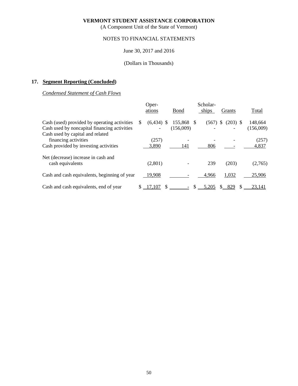(A Component Unit of the State of Vermont)

# NOTES TO FINANCIAL STATEMENTS

### June 30, 2017 and 2016

### (Dollars in Thousands)

# **17. Segment Reporting (Concluded)**

*Condensed Statement of Cash Flows* 

|                                              | Oper- |              |           | Scholar- |       |                            |               |           |  |
|----------------------------------------------|-------|--------------|-----------|----------|-------|----------------------------|---------------|-----------|--|
|                                              |       | ations       | Bond      |          | ships | Grants                     |               | Total     |  |
| Cash (used) provided by operating activities | \$.   | $(6,434)$ \$ | 155,868   | -S       | (567) | <sup>S</sup><br>$(203)$ \$ |               | 148,664   |  |
| Cash used by noncapital financing activities |       |              | (156,009) |          |       |                            |               | (156,009) |  |
| Cash used by capital and related             |       |              |           |          |       |                            |               |           |  |
| financing activities                         |       | (257)        |           |          |       |                            |               | (257)     |  |
| Cash provided by investing activities        |       | 3,890        | 141       |          | 806   |                            |               | 4,837     |  |
| Net (decrease) increase in cash and          |       |              |           |          |       |                            |               |           |  |
| cash equivalents                             |       | (2,801)      |           |          | 239   | (203)                      |               | (2,765)   |  |
| Cash and cash equivalents, beginning of year |       | 19,908       |           |          | 4,966 | 1,032                      |               | 25,906    |  |
| Cash and cash equivalents, end of year       | \$.   | 17.107       |           |          | 5.205 | 829<br>S.                  | <sup>\$</sup> | 23.141    |  |